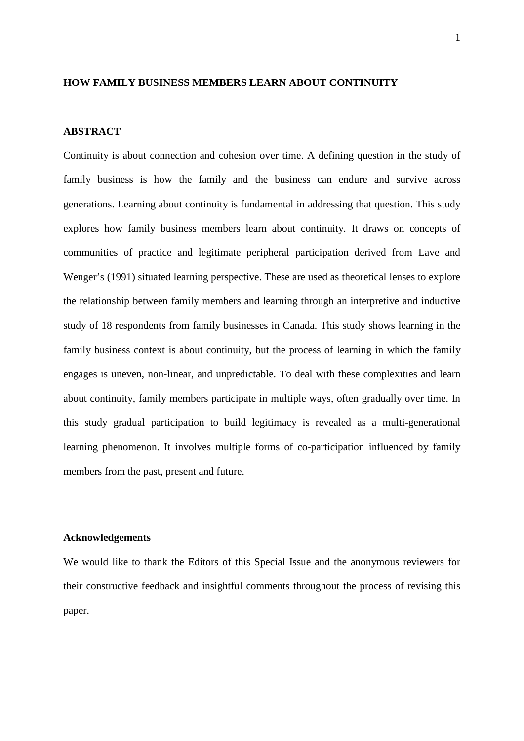## **HOW FAMILY BUSINESS MEMBERS LEARN ABOUT CONTINUITY**

## **ABSTRACT**

Continuity is about connection and cohesion over time. A defining question in the study of family business is how the family and the business can endure and survive across generations. Learning about continuity is fundamental in addressing that question. This study explores how family business members learn about continuity. It draws on concepts of communities of practice and legitimate peripheral participation derived from Lave and Wenger's (1991) situated learning perspective. These are used as theoretical lenses to explore the relationship between family members and learning through an interpretive and inductive study of 18 respondents from family businesses in Canada. This study shows learning in the family business context is about continuity, but the process of learning in which the family engages is uneven, non-linear, and unpredictable. To deal with these complexities and learn about continuity, family members participate in multiple ways, often gradually over time. In this study gradual participation to build legitimacy is revealed as a multi-generational learning phenomenon. It involves multiple forms of co-participation influenced by family members from the past, present and future.

## **Acknowledgements**

We would like to thank the Editors of this Special Issue and the anonymous reviewers for their constructive feedback and insightful comments throughout the process of revising this paper.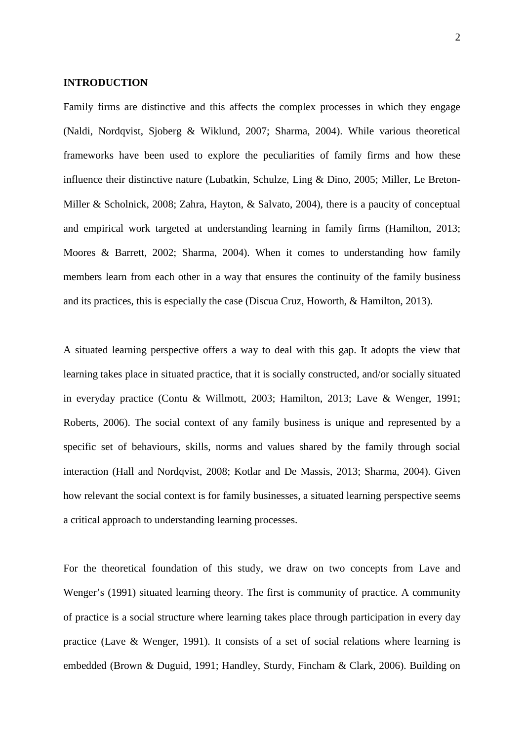## **INTRODUCTION**

Family firms are distinctive and this affects the complex processes in which they engage (Naldi, Nordqvist, Sjoberg & Wiklund, 2007; Sharma, 2004). While various theoretical frameworks have been used to explore the peculiarities of family firms and how these influence their distinctive nature (Lubatkin*,* Schulze, Ling & Dino, 2005; Miller, Le Breton-Miller & Scholnick, 2008; Zahra, Hayton, & Salvato, 2004), there is a paucity of conceptual and empirical work targeted at understanding learning in family firms (Hamilton, 2013; Moores & Barrett, 2002; Sharma, 2004). When it comes to understanding how family members learn from each other in a way that ensures the continuity of the family business and its practices, this is especially the case (Discua Cruz, Howorth, & Hamilton, 2013).

A situated learning perspective offers a way to deal with this gap. It adopts the view that learning takes place in situated practice, that it is socially constructed, and/or socially situated in everyday practice (Contu & Willmott, 2003; Hamilton, 2013; Lave & Wenger, 1991; Roberts, 2006). The social context of any family business is unique and represented by a specific set of behaviours, skills, norms and values shared by the family through social interaction (Hall and Nordqvist, 2008; Kotlar and De Massis, 2013; Sharma, 2004). Given how relevant the social context is for family businesses, a situated learning perspective seems a critical approach to understanding learning processes.

For the theoretical foundation of this study, we draw on two concepts from Lave and Wenger's (1991) situated learning theory. The first is community of practice. A community of practice is a social structure where learning takes place through participation in every day practice (Lave & Wenger, 1991). It consists of a set of social relations where learning is embedded (Brown & Duguid, 1991; Handley, Sturdy, Fincham & Clark, 2006). Building on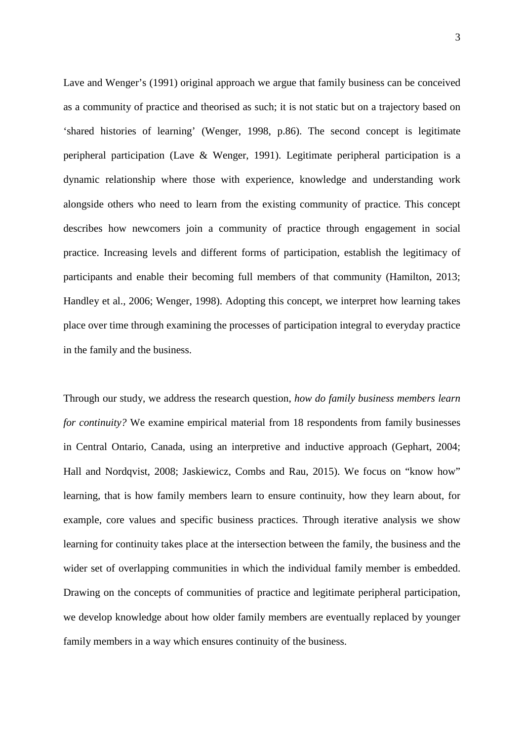Lave and Wenger's (1991) original approach we argue that family business can be conceived as a community of practice and theorised as such; it is not static but on a trajectory based on 'shared histories of learning' (Wenger, 1998, p.86). The second concept is legitimate peripheral participation (Lave & Wenger, 1991). Legitimate peripheral participation is a dynamic relationship where those with experience, knowledge and understanding work alongside others who need to learn from the existing community of practice. This concept describes how newcomers join a community of practice through engagement in social practice. Increasing levels and different forms of participation, establish the legitimacy of participants and enable their becoming full members of that community (Hamilton, 2013; Handley et al., 2006; Wenger, 1998). Adopting this concept, we interpret how learning takes place over time through examining the processes of participation integral to everyday practice in the family and the business.

Through our study, we address the research question, *how do family business members learn for continuity?* We examine empirical material from 18 respondents from family businesses in Central Ontario, Canada, using an interpretive and inductive approach (Gephart, 2004; Hall and Nordqvist, 2008; Jaskiewicz, Combs and Rau, 2015). We focus on "know how" learning, that is how family members learn to ensure continuity, how they learn about, for example, core values and specific business practices. Through iterative analysis we show learning for continuity takes place at the intersection between the family, the business and the wider set of overlapping communities in which the individual family member is embedded. Drawing on the concepts of communities of practice and legitimate peripheral participation, we develop knowledge about how older family members are eventually replaced by younger family members in a way which ensures continuity of the business.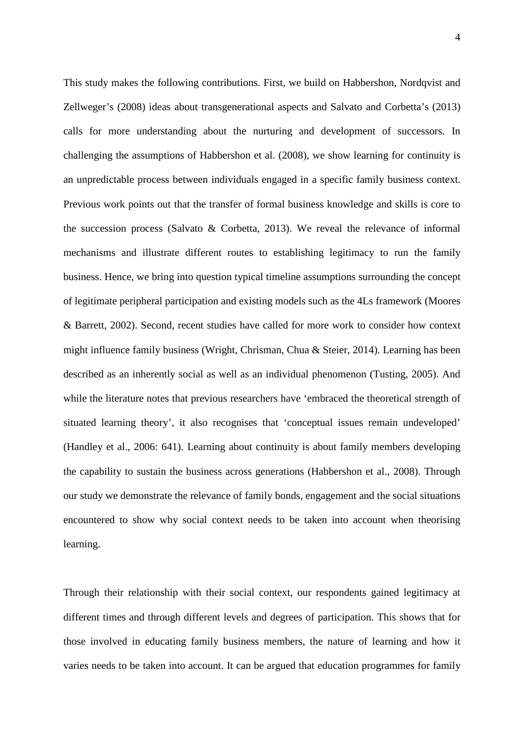This study makes the following contributions. First, we build on Habbershon, Nordqvist and Zellweger's (2008) ideas about transgenerational aspects and Salvato and Corbetta's (2013) calls for more understanding about the nurturing and development of successors. In challenging the assumptions of Habbershon et al. (2008), we show learning for continuity is an unpredictable process between individuals engaged in a specific family business context. Previous work points out that the transfer of formal business knowledge and skills is core to the succession process (Salvato & Corbetta, 2013). We reveal the relevance of informal mechanisms and illustrate different routes to establishing legitimacy to run the family business. Hence, we bring into question typical timeline assumptions surrounding the concept of legitimate peripheral participation and existing models such as the 4Ls framework (Moores & Barrett, 2002). Second, recent studies have called for more work to consider how context might influence family business (Wright, Chrisman, Chua & Steier, 2014). Learning has been described as an inherently social as well as an individual phenomenon (Tusting, 2005). And while the literature notes that previous researchers have 'embraced the theoretical strength of situated learning theory', it also recognises that 'conceptual issues remain undeveloped' (Handley et al., 2006: 641). Learning about continuity is about family members developing the capability to sustain the business across generations (Habbershon et al., 2008). Through our study we demonstrate the relevance of family bonds, engagement and the social situations encountered to show why social context needs to be taken into account when theorising learning.

Through their relationship with their social context, our respondents gained legitimacy at different times and through different levels and degrees of participation. This shows that for those involved in educating family business members, the nature of learning and how it varies needs to be taken into account. It can be argued that education programmes for family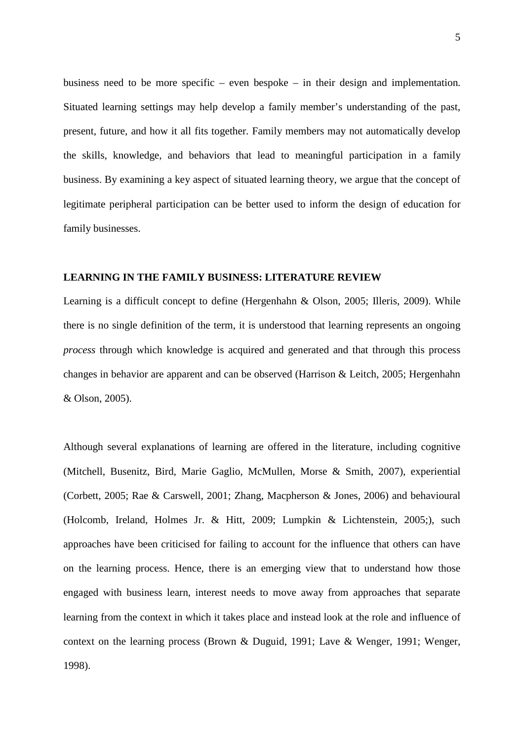business need to be more specific – even bespoke – in their design and implementation. Situated learning settings may help develop a family member's understanding of the past, present, future, and how it all fits together. Family members may not automatically develop the skills, knowledge, and behaviors that lead to meaningful participation in a family business. By examining a key aspect of situated learning theory, we argue that the concept of legitimate peripheral participation can be better used to inform the design of education for family businesses.

#### **LEARNING IN THE FAMILY BUSINESS: LITERATURE REVIEW**

Learning is a difficult concept to define (Hergenhahn & Olson, 2005; Illeris, 2009). While there is no single definition of the term, it is understood that learning represents an ongoing *process* through which knowledge is acquired and generated and that through this process changes in behavior are apparent and can be observed (Harrison & Leitch, 2005; Hergenhahn & Olson, 2005).

Although several explanations of learning are offered in the literature, including cognitive (Mitchell, Busenitz, Bird, Marie Gaglio, McMullen, Morse & Smith, 2007), experiential (Corbett, 2005; Rae & Carswell, 2001; Zhang, Macpherson & Jones, 2006) and behavioural (Holcomb, Ireland, Holmes Jr. & Hitt, 2009; Lumpkin & Lichtenstein, 2005;), such approaches have been criticised for failing to account for the influence that others can have on the learning process. Hence, there is an emerging view that to understand how those engaged with business learn, interest needs to move away from approaches that separate learning from the context in which it takes place and instead look at the role and influence of context on the learning process (Brown & Duguid, 1991; Lave & Wenger, 1991; Wenger, 1998).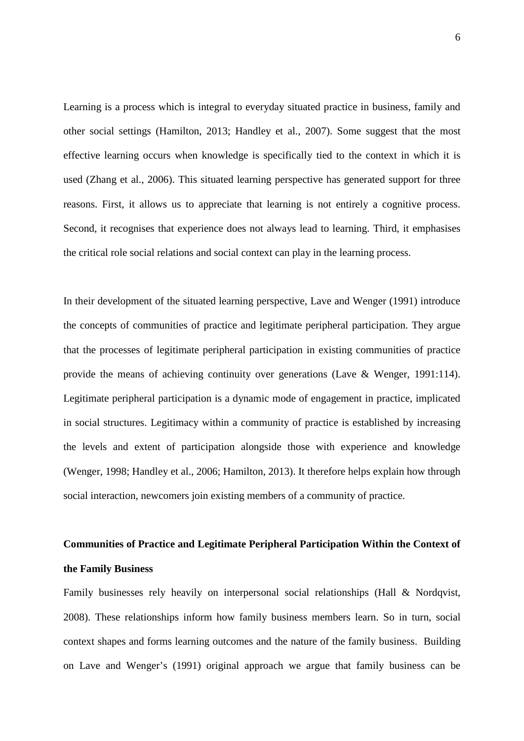Learning is a process which is integral to everyday situated practice in business, family and other social settings (Hamilton, 2013; Handley et al., 2007). Some suggest that the most effective learning occurs when knowledge is specifically tied to the context in which it is used (Zhang et al., 2006). This situated learning perspective has generated support for three reasons. First, it allows us to appreciate that learning is not entirely a cognitive process. Second, it recognises that experience does not always lead to learning. Third, it emphasises the critical role social relations and social context can play in the learning process.

In their development of the situated learning perspective, Lave and Wenger (1991) introduce the concepts of communities of practice and legitimate peripheral participation. They argue that the processes of legitimate peripheral participation in existing communities of practice provide the means of achieving continuity over generations (Lave & Wenger, 1991:114). Legitimate peripheral participation is a dynamic mode of engagement in practice, implicated in social structures. Legitimacy within a community of practice is established by increasing the levels and extent of participation alongside those with experience and knowledge (Wenger, 1998; Handley et al., 2006; Hamilton, 2013). It therefore helps explain how through social interaction, newcomers join existing members of a community of practice.

# **Communities of Practice and Legitimate Peripheral Participation Within the Context of the Family Business**

Family businesses rely heavily on interpersonal social relationships (Hall & Nordqvist, 2008). These relationships inform how family business members learn. So in turn, social context shapes and forms learning outcomes and the nature of the family business. Building on Lave and Wenger's (1991) original approach we argue that family business can be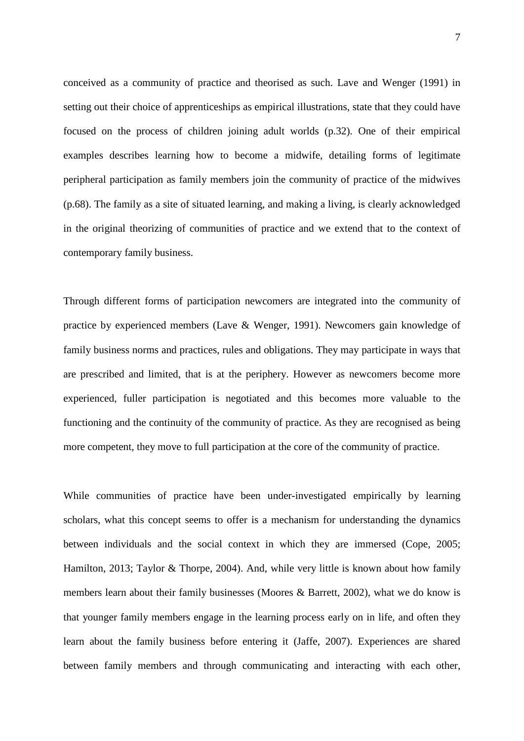conceived as a community of practice and theorised as such. Lave and Wenger (1991) in setting out their choice of apprenticeships as empirical illustrations, state that they could have focused on the process of children joining adult worlds (p.32). One of their empirical examples describes learning how to become a midwife, detailing forms of legitimate peripheral participation as family members join the community of practice of the midwives (p.68). The family as a site of situated learning, and making a living, is clearly acknowledged in the original theorizing of communities of practice and we extend that to the context of contemporary family business.

Through different forms of participation newcomers are integrated into the community of practice by experienced members (Lave & Wenger, 1991). Newcomers gain knowledge of family business norms and practices, rules and obligations. They may participate in ways that are prescribed and limited, that is at the periphery. However as newcomers become more experienced, fuller participation is negotiated and this becomes more valuable to the functioning and the continuity of the community of practice. As they are recognised as being more competent, they move to full participation at the core of the community of practice.

While communities of practice have been under-investigated empirically by learning scholars, what this concept seems to offer is a mechanism for understanding the dynamics between individuals and the social context in which they are immersed (Cope, 2005; Hamilton, 2013; Taylor & Thorpe, 2004). And, while very little is known about how family members learn about their family businesses (Moores & Barrett, 2002), what we do know is that younger family members engage in the learning process early on in life, and often they learn about the family business before entering it (Jaffe, 2007). Experiences are shared between family members and through communicating and interacting with each other,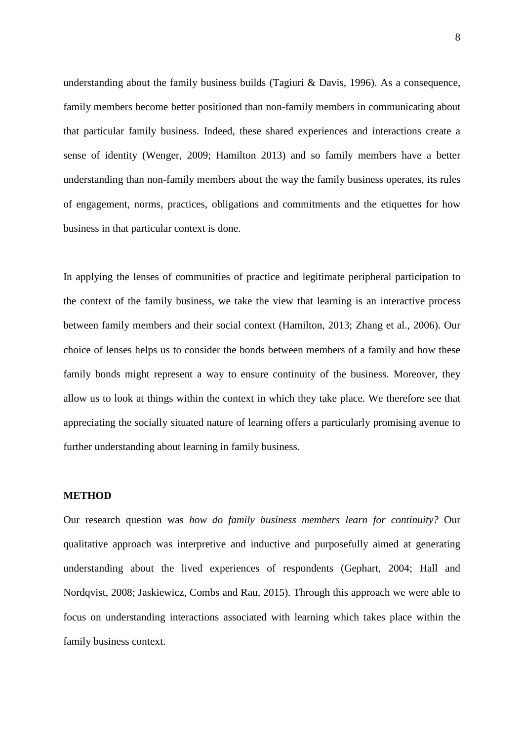understanding about the family business builds (Tagiuri & Davis, 1996). As a consequence, family members become better positioned than non-family members in communicating about that particular family business. Indeed, these shared experiences and interactions create a sense of identity (Wenger, 2009; Hamilton 2013) and so family members have a better understanding than non-family members about the way the family business operates, its rules of engagement, norms, practices, obligations and commitments and the etiquettes for how business in that particular context is done.

In applying the lenses of communities of practice and legitimate peripheral participation to the context of the family business, we take the view that learning is an interactive process between family members and their social context (Hamilton, 2013; Zhang et al., 2006). Our choice of lenses helps us to consider the bonds between members of a family and how these family bonds might represent a way to ensure continuity of the business. Moreover, they allow us to look at things within the context in which they take place. We therefore see that appreciating the socially situated nature of learning offers a particularly promising avenue to further understanding about learning in family business.

## **METHOD**

Our research question was *how do family business members learn for continuity?* Our qualitative approach was interpretive and inductive and purposefully aimed at generating understanding about the lived experiences of respondents (Gephart, 2004; Hall and Nordqvist, 2008; Jaskiewicz, Combs and Rau, 2015). Through this approach we were able to focus on understanding interactions associated with learning which takes place within the family business context.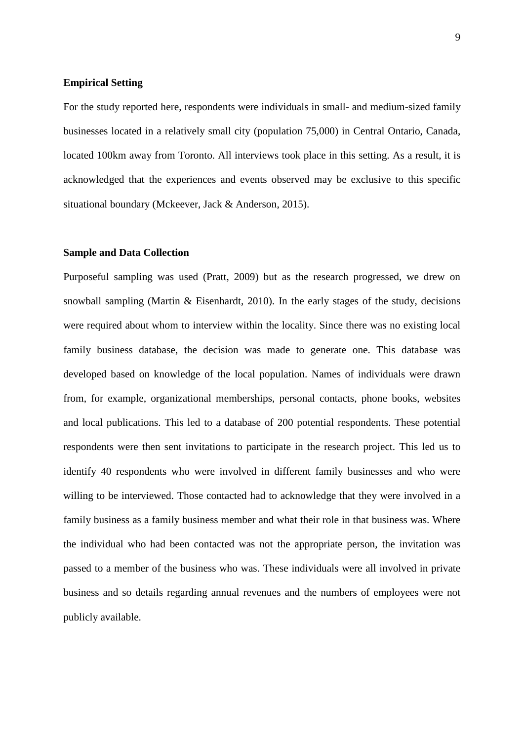## **Empirical Setting**

For the study reported here, respondents were individuals in small- and medium-sized family businesses located in a relatively small city (population 75,000) in Central Ontario, Canada, located 100km away from Toronto. All interviews took place in this setting. As a result, it is acknowledged that the experiences and events observed may be exclusive to this specific situational boundary (Mckeever, Jack & Anderson, 2015).

## **Sample and Data Collection**

Purposeful sampling was used (Pratt, 2009) but as the research progressed, we drew on snowball sampling (Martin & Eisenhardt, 2010). In the early stages of the study, decisions were required about whom to interview within the locality. Since there was no existing local family business database, the decision was made to generate one. This database was developed based on knowledge of the local population. Names of individuals were drawn from, for example, organizational memberships, personal contacts, phone books, websites and local publications. This led to a database of 200 potential respondents. These potential respondents were then sent invitations to participate in the research project. This led us to identify 40 respondents who were involved in different family businesses and who were willing to be interviewed. Those contacted had to acknowledge that they were involved in a family business as a family business member and what their role in that business was. Where the individual who had been contacted was not the appropriate person, the invitation was passed to a member of the business who was. These individuals were all involved in private business and so details regarding annual revenues and the numbers of employees were not publicly available.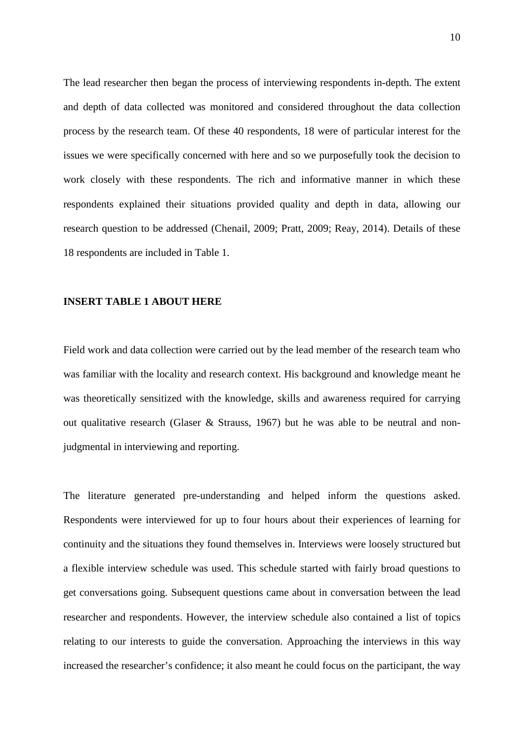The lead researcher then began the process of interviewing respondents in-depth. The extent and depth of data collected was monitored and considered throughout the data collection process by the research team. Of these 40 respondents, 18 were of particular interest for the issues we were specifically concerned with here and so we purposefully took the decision to work closely with these respondents. The rich and informative manner in which these respondents explained their situations provided quality and depth in data, allowing our research question to be addressed (Chenail, 2009; Pratt, 2009; Reay, 2014). Details of these 18 respondents are included in Table 1.

#### **INSERT TABLE 1 ABOUT HERE**

Field work and data collection were carried out by the lead member of the research team who was familiar with the locality and research context. His background and knowledge meant he was theoretically sensitized with the knowledge, skills and awareness required for carrying out qualitative research (Glaser & Strauss, 1967) but he was able to be neutral and nonjudgmental in interviewing and reporting.

The literature generated pre-understanding and helped inform the questions asked. Respondents were interviewed for up to four hours about their experiences of learning for continuity and the situations they found themselves in. Interviews were loosely structured but a flexible interview schedule was used. This schedule started with fairly broad questions to get conversations going. Subsequent questions came about in conversation between the lead researcher and respondents. However, the interview schedule also contained a list of topics relating to our interests to guide the conversation. Approaching the interviews in this way increased the researcher's confidence; it also meant he could focus on the participant, the way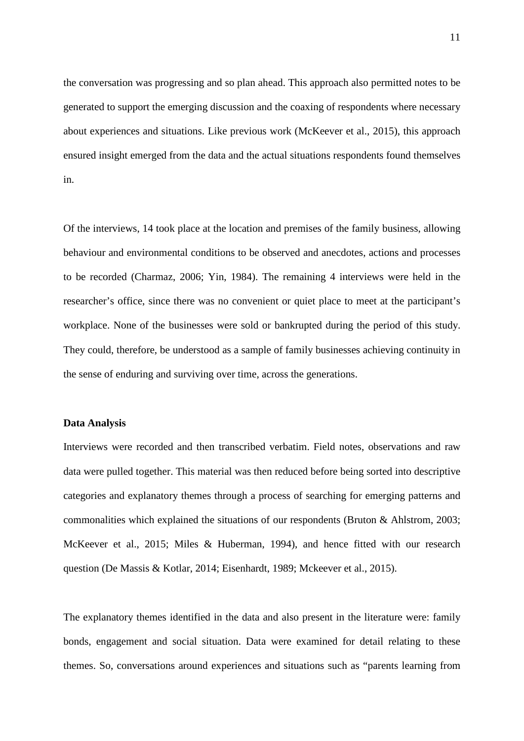the conversation was progressing and so plan ahead. This approach also permitted notes to be generated to support the emerging discussion and the coaxing of respondents where necessary about experiences and situations. Like previous work (McKeever et al., 2015), this approach ensured insight emerged from the data and the actual situations respondents found themselves in.

Of the interviews, 14 took place at the location and premises of the family business, allowing behaviour and environmental conditions to be observed and anecdotes, actions and processes to be recorded (Charmaz, 2006; Yin, 1984). The remaining 4 interviews were held in the researcher's office, since there was no convenient or quiet place to meet at the participant's workplace. None of the businesses were sold or bankrupted during the period of this study. They could, therefore, be understood as a sample of family businesses achieving continuity in the sense of enduring and surviving over time, across the generations.

## **Data Analysis**

Interviews were recorded and then transcribed verbatim. Field notes, observations and raw data were pulled together. This material was then reduced before being sorted into descriptive categories and explanatory themes through a process of searching for emerging patterns and commonalities which explained the situations of our respondents (Bruton & Ahlstrom, 2003; McKeever et al., 2015; Miles & Huberman, 1994), and hence fitted with our research question (De Massis & Kotlar, 2014; Eisenhardt, 1989; Mckeever et al., 2015).

The explanatory themes identified in the data and also present in the literature were: family bonds, engagement and social situation. Data were examined for detail relating to these themes. So, conversations around experiences and situations such as "parents learning from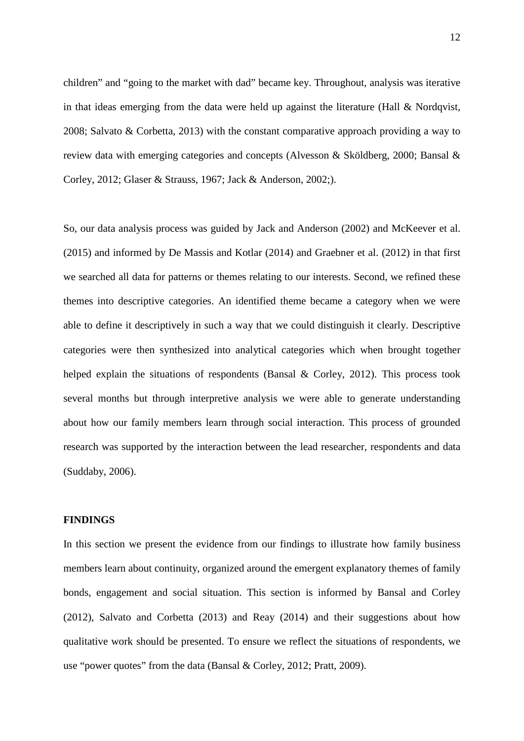children" and "going to the market with dad" became key. Throughout, analysis was iterative in that ideas emerging from the data were held up against the literature (Hall  $& Nordqvist,$ 2008; Salvato & Corbetta, 2013) with the constant comparative approach providing a way to review data with emerging categories and concepts (Alvesson & Sköldberg, 2000; Bansal & Corley, 2012; Glaser & Strauss, 1967; Jack & Anderson, 2002;).

So, our data analysis process was guided by Jack and Anderson (2002) and McKeever et al. (2015) and informed by De Massis and Kotlar (2014) and Graebner et al. (2012) in that first we searched all data for patterns or themes relating to our interests. Second, we refined these themes into descriptive categories. An identified theme became a category when we were able to define it descriptively in such a way that we could distinguish it clearly. Descriptive categories were then synthesized into analytical categories which when brought together helped explain the situations of respondents (Bansal & Corley, 2012). This process took several months but through interpretive analysis we were able to generate understanding about how our family members learn through social interaction. This process of grounded research was supported by the interaction between the lead researcher, respondents and data (Suddaby, 2006).

## **FINDINGS**

In this section we present the evidence from our findings to illustrate how family business members learn about continuity, organized around the emergent explanatory themes of family bonds, engagement and social situation. This section is informed by Bansal and Corley (2012), Salvato and Corbetta (2013) and Reay (2014) and their suggestions about how qualitative work should be presented. To ensure we reflect the situations of respondents, we use "power quotes" from the data (Bansal & Corley, 2012; Pratt, 2009).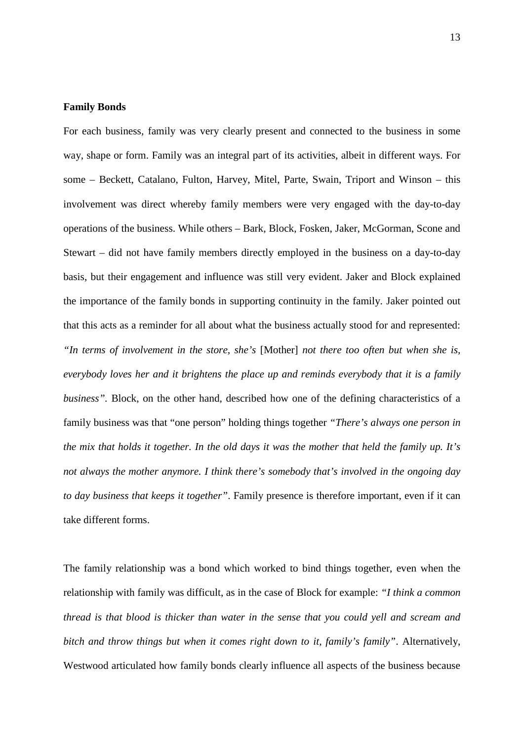## **Family Bonds**

For each business, family was very clearly present and connected to the business in some way, shape or form. Family was an integral part of its activities, albeit in different ways. For some – Beckett, Catalano, Fulton, Harvey, Mitel, Parte, Swain, Triport and Winson – this involvement was direct whereby family members were very engaged with the day-to-day operations of the business. While others – Bark, Block, Fosken, Jaker, McGorman, Scone and Stewart – did not have family members directly employed in the business on a day-to-day basis, but their engagement and influence was still very evident. Jaker and Block explained the importance of the family bonds in supporting continuity in the family. Jaker pointed out that this acts as a reminder for all about what the business actually stood for and represented: *"In terms of involvement in the store, she's* [Mother] *not there too often but when she is, everybody loves her and it brightens the place up and reminds everybody that it is a family business".* Block, on the other hand, described how one of the defining characteristics of a family business was that "one person" holding things together *"There's always one person in the mix that holds it together. In the old days it was the mother that held the family up. It's not always the mother anymore. I think there's somebody that's involved in the ongoing day to day business that keeps it together"*. Family presence is therefore important, even if it can take different forms.

The family relationship was a bond which worked to bind things together, even when the relationship with family was difficult, as in the case of Block for example: *"I think a common thread is that blood is thicker than water in the sense that you could yell and scream and bitch and throw things but when it comes right down to it, family's family"*. Alternatively, Westwood articulated how family bonds clearly influence all aspects of the business because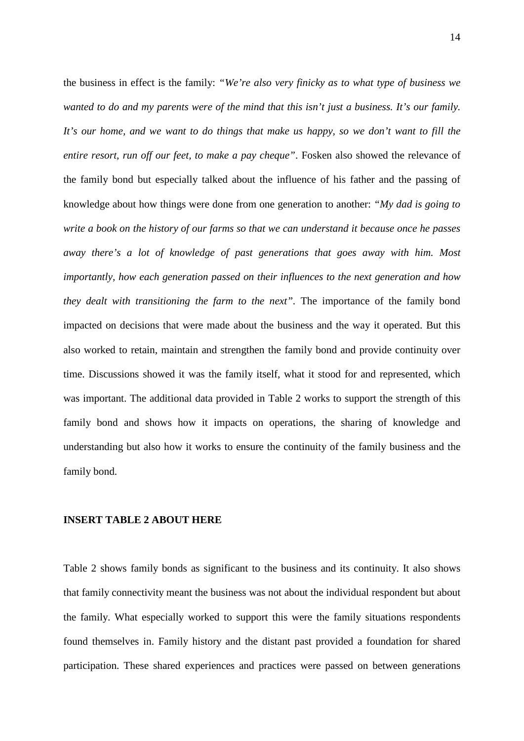the business in effect is the family: *"We're also very finicky as to what type of business we wanted to do and my parents were of the mind that this isn't just a business. It's our family. It's our home, and we want to do things that make us happy, so we don't want to fill the entire resort, run off our feet, to make a pay cheque"*. Fosken also showed the relevance of the family bond but especially talked about the influence of his father and the passing of knowledge about how things were done from one generation to another: *"My dad is going to write a book on the history of our farms so that we can understand it because once he passes away there's a lot of knowledge of past generations that goes away with him. Most importantly, how each generation passed on their influences to the next generation and how they dealt with transitioning the farm to the next*". The importance of the family bond impacted on decisions that were made about the business and the way it operated. But this also worked to retain, maintain and strengthen the family bond and provide continuity over time. Discussions showed it was the family itself, what it stood for and represented, which was important. The additional data provided in Table 2 works to support the strength of this family bond and shows how it impacts on operations, the sharing of knowledge and understanding but also how it works to ensure the continuity of the family business and the family bond.

#### **INSERT TABLE 2 ABOUT HERE**

Table 2 shows family bonds as significant to the business and its continuity. It also shows that family connectivity meant the business was not about the individual respondent but about the family. What especially worked to support this were the family situations respondents found themselves in. Family history and the distant past provided a foundation for shared participation. These shared experiences and practices were passed on between generations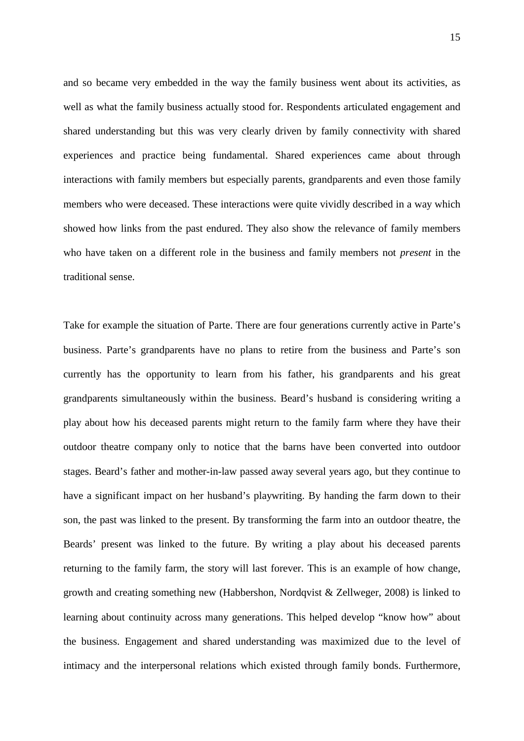and so became very embedded in the way the family business went about its activities, as well as what the family business actually stood for. Respondents articulated engagement and shared understanding but this was very clearly driven by family connectivity with shared experiences and practice being fundamental. Shared experiences came about through interactions with family members but especially parents, grandparents and even those family members who were deceased. These interactions were quite vividly described in a way which showed how links from the past endured. They also show the relevance of family members who have taken on a different role in the business and family members not *present* in the traditional sense.

Take for example the situation of Parte. There are four generations currently active in Parte's business. Parte's grandparents have no plans to retire from the business and Parte's son currently has the opportunity to learn from his father, his grandparents and his great grandparents simultaneously within the business. Beard's husband is considering writing a play about how his deceased parents might return to the family farm where they have their outdoor theatre company only to notice that the barns have been converted into outdoor stages. Beard's father and mother-in-law passed away several years ago, but they continue to have a significant impact on her husband's playwriting. By handing the farm down to their son, the past was linked to the present. By transforming the farm into an outdoor theatre, the Beards' present was linked to the future. By writing a play about his deceased parents returning to the family farm, the story will last forever. This is an example of how change, growth and creating something new (Habbershon, Nordqvist & Zellweger, 2008) is linked to learning about continuity across many generations. This helped develop "know how" about the business. Engagement and shared understanding was maximized due to the level of intimacy and the interpersonal relations which existed through family bonds. Furthermore,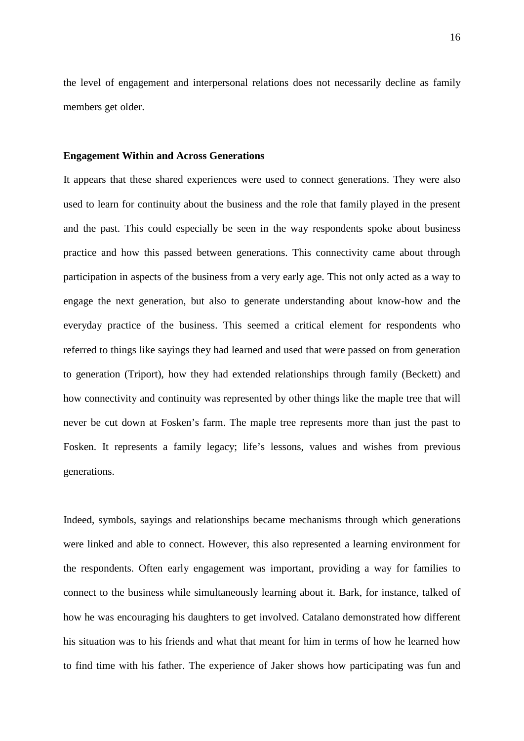the level of engagement and interpersonal relations does not necessarily decline as family members get older.

#### **Engagement Within and Across Generations**

It appears that these shared experiences were used to connect generations. They were also used to learn for continuity about the business and the role that family played in the present and the past. This could especially be seen in the way respondents spoke about business practice and how this passed between generations. This connectivity came about through participation in aspects of the business from a very early age. This not only acted as a way to engage the next generation, but also to generate understanding about know-how and the everyday practice of the business. This seemed a critical element for respondents who referred to things like sayings they had learned and used that were passed on from generation to generation (Triport), how they had extended relationships through family (Beckett) and how connectivity and continuity was represented by other things like the maple tree that will never be cut down at Fosken's farm. The maple tree represents more than just the past to Fosken. It represents a family legacy; life's lessons, values and wishes from previous generations.

Indeed, symbols, sayings and relationships became mechanisms through which generations were linked and able to connect. However, this also represented a learning environment for the respondents. Often early engagement was important, providing a way for families to connect to the business while simultaneously learning about it. Bark, for instance, talked of how he was encouraging his daughters to get involved. Catalano demonstrated how different his situation was to his friends and what that meant for him in terms of how he learned how to find time with his father. The experience of Jaker shows how participating was fun and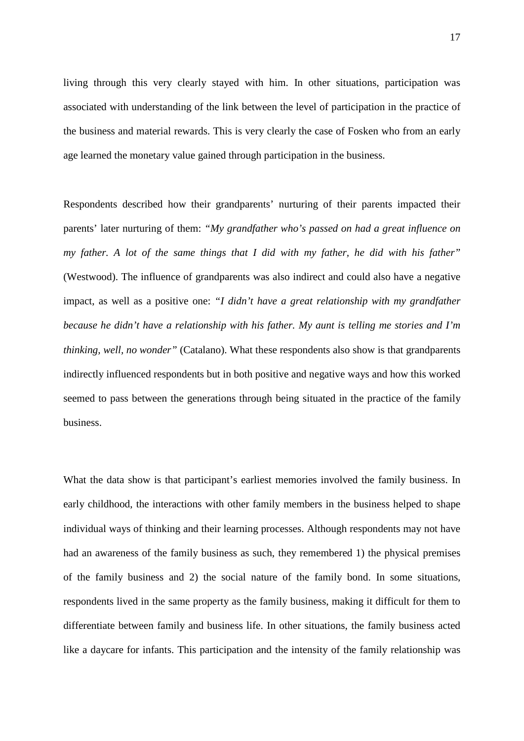living through this very clearly stayed with him. In other situations, participation was associated with understanding of the link between the level of participation in the practice of the business and material rewards. This is very clearly the case of Fosken who from an early age learned the monetary value gained through participation in the business.

Respondents described how their grandparents' nurturing of their parents impacted their parents' later nurturing of them: *"My grandfather who's passed on had a great influence on my father. A lot of the same things that I did with my father, he did with his father"*  (Westwood). The influence of grandparents was also indirect and could also have a negative impact, as well as a positive one: *"I didn't have a great relationship with my grandfather because he didn't have a relationship with his father. My aunt is telling me stories and I'm thinking, well, no wonder"* (Catalano). What these respondents also show is that grandparents indirectly influenced respondents but in both positive and negative ways and how this worked seemed to pass between the generations through being situated in the practice of the family business.

What the data show is that participant's earliest memories involved the family business. In early childhood, the interactions with other family members in the business helped to shape individual ways of thinking and their learning processes. Although respondents may not have had an awareness of the family business as such, they remembered 1) the physical premises of the family business and 2) the social nature of the family bond. In some situations, respondents lived in the same property as the family business, making it difficult for them to differentiate between family and business life. In other situations, the family business acted like a daycare for infants. This participation and the intensity of the family relationship was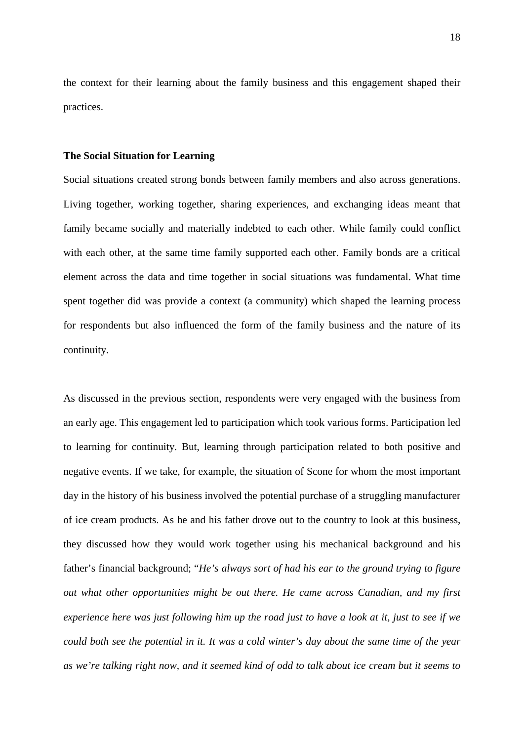the context for their learning about the family business and this engagement shaped their practices.

#### **The Social Situation for Learning**

Social situations created strong bonds between family members and also across generations. Living together, working together, sharing experiences, and exchanging ideas meant that family became socially and materially indebted to each other. While family could conflict with each other, at the same time family supported each other. Family bonds are a critical element across the data and time together in social situations was fundamental. What time spent together did was provide a context (a community) which shaped the learning process for respondents but also influenced the form of the family business and the nature of its continuity.

As discussed in the previous section, respondents were very engaged with the business from an early age. This engagement led to participation which took various forms. Participation led to learning for continuity. But, learning through participation related to both positive and negative events. If we take, for example, the situation of Scone for whom the most important day in the history of his business involved the potential purchase of a struggling manufacturer of ice cream products. As he and his father drove out to the country to look at this business, they discussed how they would work together using his mechanical background and his father's financial background; "*He's always sort of had his ear to the ground trying to figure out what other opportunities might be out there. He came across Canadian, and my first experience here was just following him up the road just to have a look at it, just to see if we could both see the potential in it. It was a cold winter's day about the same time of the year as we're talking right now, and it seemed kind of odd to talk about ice cream but it seems to*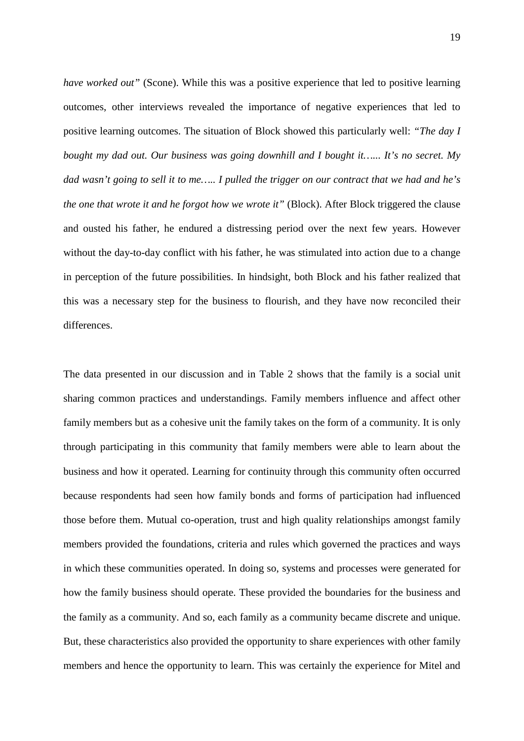*have worked out"* (Scone). While this was a positive experience that led to positive learning outcomes, other interviews revealed the importance of negative experiences that led to positive learning outcomes. The situation of Block showed this particularly well: *"The day I bought my dad out. Our business was going downhill and I bought it…... It's no secret. My dad wasn't going to sell it to me….. I pulled the trigger on our contract that we had and he's the one that wrote it and he forgot how we wrote it"* (Block). After Block triggered the clause and ousted his father, he endured a distressing period over the next few years. However without the day-to-day conflict with his father, he was stimulated into action due to a change in perception of the future possibilities. In hindsight, both Block and his father realized that this was a necessary step for the business to flourish, and they have now reconciled their differences.

The data presented in our discussion and in Table 2 shows that the family is a social unit sharing common practices and understandings. Family members influence and affect other family members but as a cohesive unit the family takes on the form of a community. It is only through participating in this community that family members were able to learn about the business and how it operated. Learning for continuity through this community often occurred because respondents had seen how family bonds and forms of participation had influenced those before them. Mutual co-operation, trust and high quality relationships amongst family members provided the foundations, criteria and rules which governed the practices and ways in which these communities operated. In doing so, systems and processes were generated for how the family business should operate. These provided the boundaries for the business and the family as a community. And so, each family as a community became discrete and unique. But, these characteristics also provided the opportunity to share experiences with other family members and hence the opportunity to learn. This was certainly the experience for Mitel and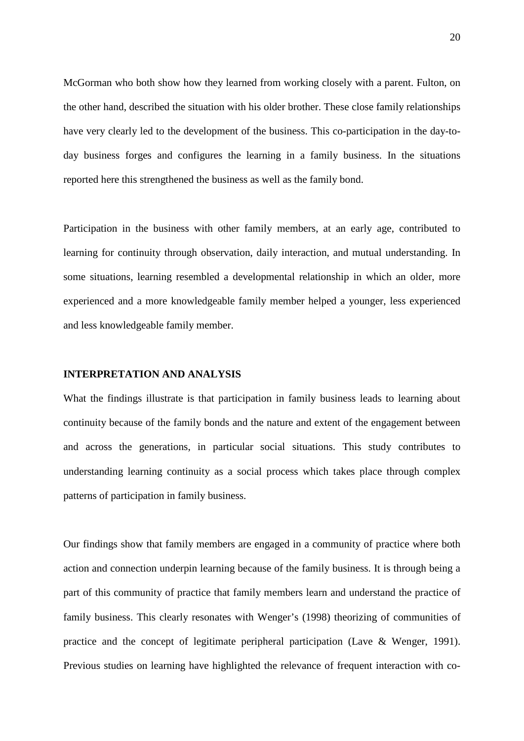McGorman who both show how they learned from working closely with a parent. Fulton, on the other hand, described the situation with his older brother. These close family relationships have very clearly led to the development of the business. This co-participation in the day-today business forges and configures the learning in a family business. In the situations reported here this strengthened the business as well as the family bond.

Participation in the business with other family members, at an early age, contributed to learning for continuity through observation, daily interaction, and mutual understanding. In some situations, learning resembled a developmental relationship in which an older, more experienced and a more knowledgeable family member helped a younger, less experienced and less knowledgeable family member.

## **INTERPRETATION AND ANALYSIS**

What the findings illustrate is that participation in family business leads to learning about continuity because of the family bonds and the nature and extent of the engagement between and across the generations, in particular social situations. This study contributes to understanding learning continuity as a social process which takes place through complex patterns of participation in family business.

Our findings show that family members are engaged in a community of practice where both action and connection underpin learning because of the family business. It is through being a part of this community of practice that family members learn and understand the practice of family business. This clearly resonates with Wenger's (1998) theorizing of communities of practice and the concept of legitimate peripheral participation (Lave & Wenger, 1991). Previous studies on learning have highlighted the relevance of frequent interaction with co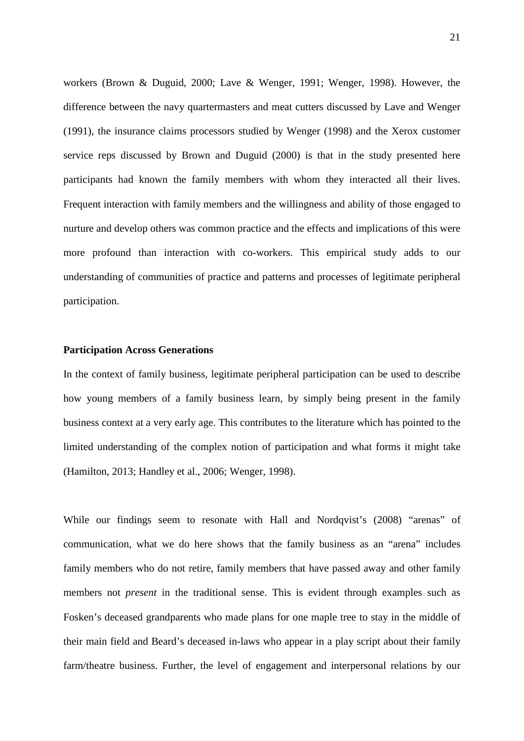workers (Brown & Duguid, 2000; Lave & Wenger, 1991; Wenger, 1998). However, the difference between the navy quartermasters and meat cutters discussed by Lave and Wenger (1991), the insurance claims processors studied by Wenger (1998) and the Xerox customer service reps discussed by Brown and Duguid (2000) is that in the study presented here participants had known the family members with whom they interacted all their lives. Frequent interaction with family members and the willingness and ability of those engaged to nurture and develop others was common practice and the effects and implications of this were more profound than interaction with co-workers. This empirical study adds to our understanding of communities of practice and patterns and processes of legitimate peripheral participation.

#### **Participation Across Generations**

In the context of family business, legitimate peripheral participation can be used to describe how young members of a family business learn, by simply being present in the family business context at a very early age. This contributes to the literature which has pointed to the limited understanding of the complex notion of participation and what forms it might take (Hamilton, 2013; Handley et al., 2006; Wenger, 1998).

While our findings seem to resonate with Hall and Nordqvist's (2008) "arenas" of communication, what we do here shows that the family business as an "arena" includes family members who do not retire, family members that have passed away and other family members not *present* in the traditional sense. This is evident through examples such as Fosken's deceased grandparents who made plans for one maple tree to stay in the middle of their main field and Beard's deceased in-laws who appear in a play script about their family farm/theatre business. Further, the level of engagement and interpersonal relations by our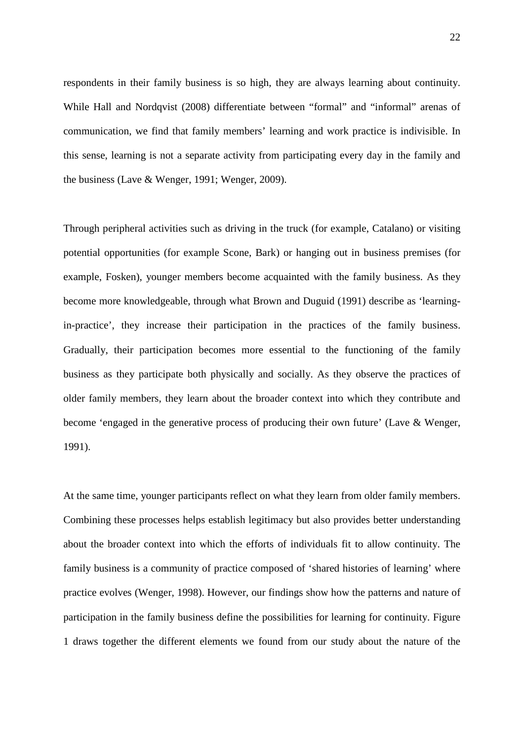respondents in their family business is so high, they are always learning about continuity. While Hall and Nordqvist (2008) differentiate between "formal" and "informal" arenas of communication, we find that family members' learning and work practice is indivisible. In this sense, learning is not a separate activity from participating every day in the family and the business (Lave & Wenger, 1991; Wenger, 2009).

Through peripheral activities such as driving in the truck (for example, Catalano) or visiting potential opportunities (for example Scone, Bark) or hanging out in business premises (for example, Fosken), younger members become acquainted with the family business. As they become more knowledgeable, through what Brown and Duguid (1991) describe as 'learningin-practice', they increase their participation in the practices of the family business. Gradually, their participation becomes more essential to the functioning of the family business as they participate both physically and socially. As they observe the practices of older family members, they learn about the broader context into which they contribute and become 'engaged in the generative process of producing their own future' (Lave & Wenger, 1991).

At the same time, younger participants reflect on what they learn from older family members. Combining these processes helps establish legitimacy but also provides better understanding about the broader context into which the efforts of individuals fit to allow continuity. The family business is a community of practice composed of 'shared histories of learning' where practice evolves (Wenger, 1998). However, our findings show how the patterns and nature of participation in the family business define the possibilities for learning for continuity. Figure 1 draws together the different elements we found from our study about the nature of the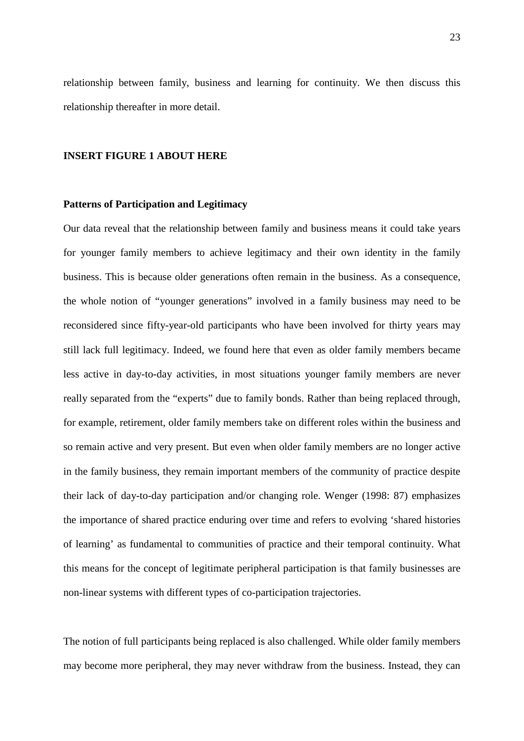relationship between family, business and learning for continuity. We then discuss this relationship thereafter in more detail.

#### **INSERT FIGURE 1 ABOUT HERE**

## **Patterns of Participation and Legitimacy**

Our data reveal that the relationship between family and business means it could take years for younger family members to achieve legitimacy and their own identity in the family business. This is because older generations often remain in the business. As a consequence, the whole notion of "younger generations" involved in a family business may need to be reconsidered since fifty-year-old participants who have been involved for thirty years may still lack full legitimacy. Indeed, we found here that even as older family members became less active in day-to-day activities, in most situations younger family members are never really separated from the "experts" due to family bonds. Rather than being replaced through, for example, retirement, older family members take on different roles within the business and so remain active and very present. But even when older family members are no longer active in the family business, they remain important members of the community of practice despite their lack of day-to-day participation and/or changing role. Wenger (1998: 87) emphasizes the importance of shared practice enduring over time and refers to evolving 'shared histories of learning' as fundamental to communities of practice and their temporal continuity. What this means for the concept of legitimate peripheral participation is that family businesses are non-linear systems with different types of co-participation trajectories.

The notion of full participants being replaced is also challenged. While older family members may become more peripheral, they may never withdraw from the business. Instead, they can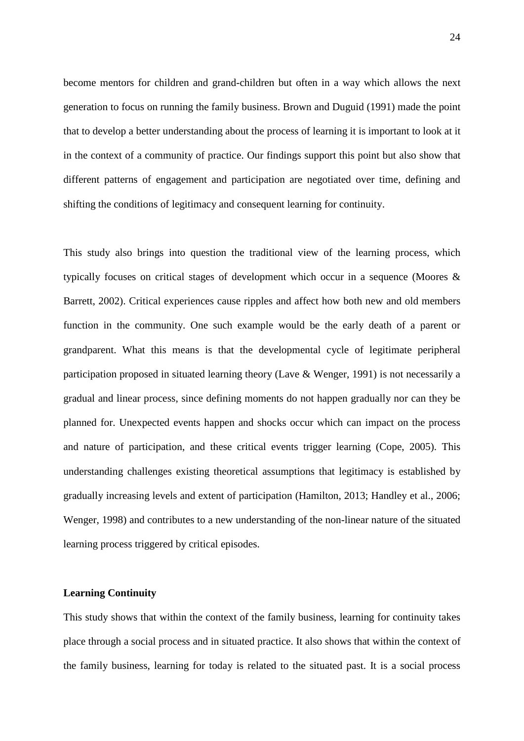become mentors for children and grand-children but often in a way which allows the next generation to focus on running the family business. Brown and Duguid (1991) made the point that to develop a better understanding about the process of learning it is important to look at it in the context of a community of practice. Our findings support this point but also show that different patterns of engagement and participation are negotiated over time, defining and shifting the conditions of legitimacy and consequent learning for continuity.

This study also brings into question the traditional view of the learning process, which typically focuses on critical stages of development which occur in a sequence (Moores & Barrett, 2002). Critical experiences cause ripples and affect how both new and old members function in the community. One such example would be the early death of a parent or grandparent. What this means is that the developmental cycle of legitimate peripheral participation proposed in situated learning theory (Lave & Wenger, 1991) is not necessarily a gradual and linear process, since defining moments do not happen gradually nor can they be planned for. Unexpected events happen and shocks occur which can impact on the process and nature of participation, and these critical events trigger learning (Cope, 2005). This understanding challenges existing theoretical assumptions that legitimacy is established by gradually increasing levels and extent of participation (Hamilton, 2013; Handley et al., 2006; Wenger, 1998) and contributes to a new understanding of the non-linear nature of the situated learning process triggered by critical episodes.

## **Learning Continuity**

This study shows that within the context of the family business, learning for continuity takes place through a social process and in situated practice. It also shows that within the context of the family business, learning for today is related to the situated past. It is a social process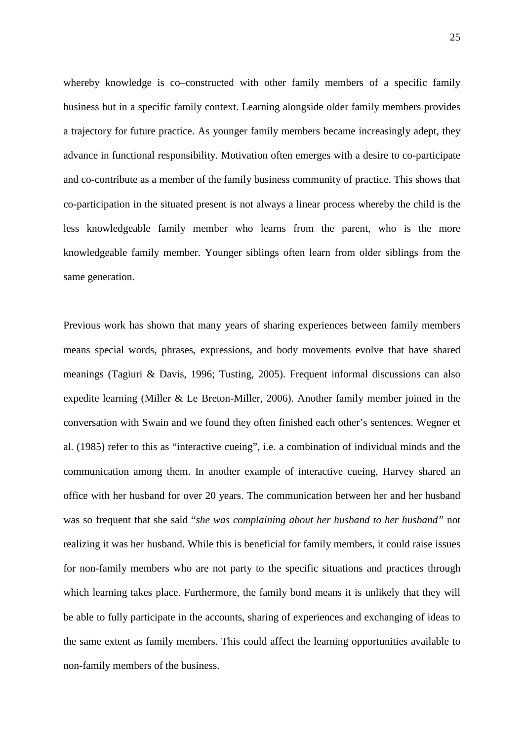whereby knowledge is co–constructed with other family members of a specific family business but in a specific family context. Learning alongside older family members provides a trajectory for future practice. As younger family members became increasingly adept, they advance in functional responsibility. Motivation often emerges with a desire to co-participate and co-contribute as a member of the family business community of practice. This shows that co-participation in the situated present is not always a linear process whereby the child is the less knowledgeable family member who learns from the parent, who is the more knowledgeable family member. Younger siblings often learn from older siblings from the same generation.

Previous work has shown that many years of sharing experiences between family members means special words, phrases, expressions, and body movements evolve that have shared meanings (Tagiuri & Davis, 1996; Tusting, 2005). Frequent informal discussions can also expedite learning (Miller & Le Breton-Miller, 2006). Another family member joined in the conversation with Swain and we found they often finished each other's sentences. Wegner et al. (1985) refer to this as "interactive cueing", i.e. a combination of individual minds and the communication among them. In another example of interactive cueing, Harvey shared an office with her husband for over 20 years. The communication between her and her husband was so frequent that she said "*she was complaining about her husband to her husband"* not realizing it was her husband. While this is beneficial for family members, it could raise issues for non-family members who are not party to the specific situations and practices through which learning takes place. Furthermore, the family bond means it is unlikely that they will be able to fully participate in the accounts, sharing of experiences and exchanging of ideas to the same extent as family members. This could affect the learning opportunities available to non-family members of the business.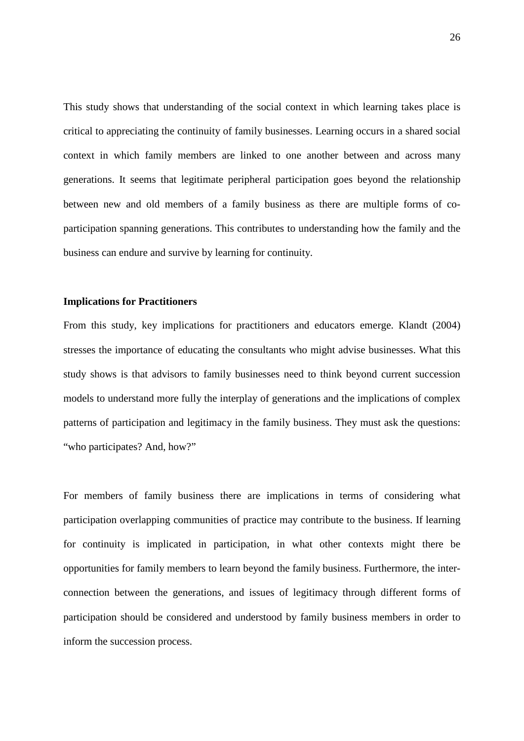This study shows that understanding of the social context in which learning takes place is critical to appreciating the continuity of family businesses. Learning occurs in a shared social context in which family members are linked to one another between and across many generations. It seems that legitimate peripheral participation goes beyond the relationship between new and old members of a family business as there are multiple forms of coparticipation spanning generations. This contributes to understanding how the family and the business can endure and survive by learning for continuity.

## **Implications for Practitioners**

From this study, key implications for practitioners and educators emerge. Klandt (2004) stresses the importance of educating the consultants who might advise businesses. What this study shows is that advisors to family businesses need to think beyond current succession models to understand more fully the interplay of generations and the implications of complex patterns of participation and legitimacy in the family business. They must ask the questions: "who participates? And, how?"

For members of family business there are implications in terms of considering what participation overlapping communities of practice may contribute to the business. If learning for continuity is implicated in participation, in what other contexts might there be opportunities for family members to learn beyond the family business. Furthermore, the interconnection between the generations, and issues of legitimacy through different forms of participation should be considered and understood by family business members in order to inform the succession process.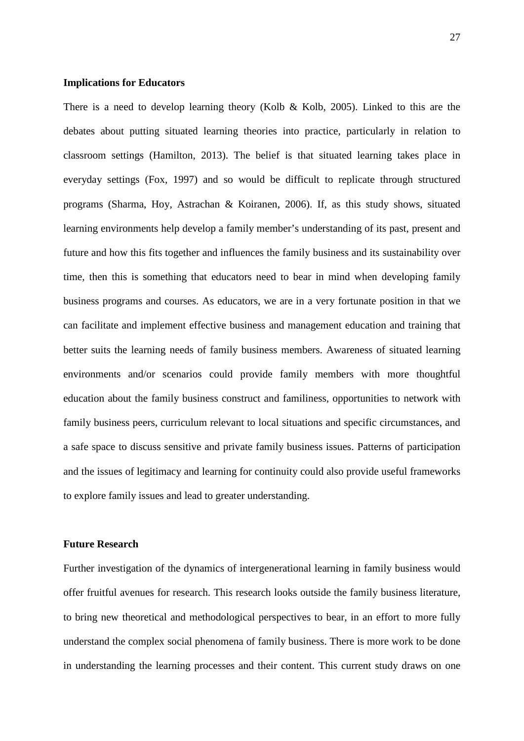## **Implications for Educators**

There is a need to develop learning theory (Kolb & Kolb, 2005). Linked to this are the debates about putting situated learning theories into practice, particularly in relation to classroom settings (Hamilton, 2013). The belief is that situated learning takes place in everyday settings (Fox, 1997) and so would be difficult to replicate through structured programs (Sharma, Hoy, Astrachan & Koiranen, 2006). If, as this study shows, situated learning environments help develop a family member's understanding of its past, present and future and how this fits together and influences the family business and its sustainability over time, then this is something that educators need to bear in mind when developing family business programs and courses. As educators, we are in a very fortunate position in that we can facilitate and implement effective business and management education and training that better suits the learning needs of family business members. Awareness of situated learning environments and/or scenarios could provide family members with more thoughtful education about the family business construct and familiness, opportunities to network with family business peers, curriculum relevant to local situations and specific circumstances, and a safe space to discuss sensitive and private family business issues. Patterns of participation and the issues of legitimacy and learning for continuity could also provide useful frameworks to explore family issues and lead to greater understanding.

## **Future Research**

Further investigation of the dynamics of intergenerational learning in family business would offer fruitful avenues for research. This research looks outside the family business literature, to bring new theoretical and methodological perspectives to bear, in an effort to more fully understand the complex social phenomena of family business. There is more work to be done in understanding the learning processes and their content. This current study draws on one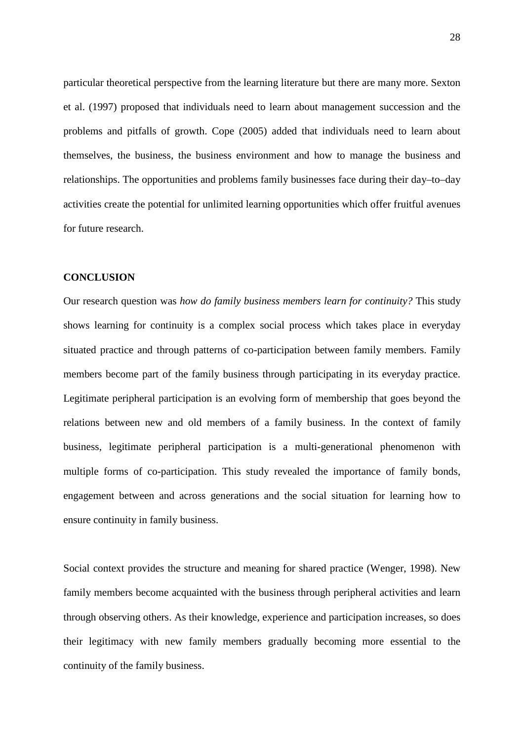particular theoretical perspective from the learning literature but there are many more. Sexton et al. (1997) proposed that individuals need to learn about management succession and the problems and pitfalls of growth. Cope (2005) added that individuals need to learn about themselves, the business, the business environment and how to manage the business and relationships. The opportunities and problems family businesses face during their day–to–day activities create the potential for unlimited learning opportunities which offer fruitful avenues for future research.

## **CONCLUSION**

Our research question was *how do family business members learn for continuity?* This study shows learning for continuity is a complex social process which takes place in everyday situated practice and through patterns of co-participation between family members. Family members become part of the family business through participating in its everyday practice. Legitimate peripheral participation is an evolving form of membership that goes beyond the relations between new and old members of a family business. In the context of family business, legitimate peripheral participation is a multi-generational phenomenon with multiple forms of co-participation. This study revealed the importance of family bonds, engagement between and across generations and the social situation for learning how to ensure continuity in family business.

Social context provides the structure and meaning for shared practice (Wenger, 1998). New family members become acquainted with the business through peripheral activities and learn through observing others. As their knowledge, experience and participation increases, so does their legitimacy with new family members gradually becoming more essential to the continuity of the family business.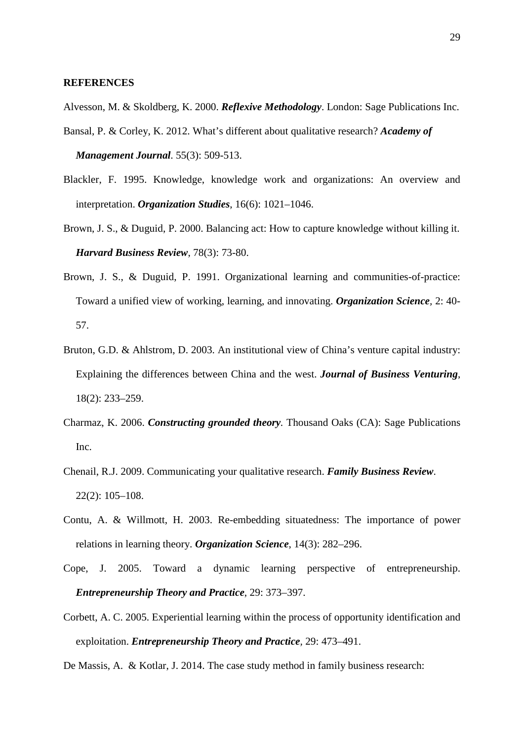## **REFERENCES**

- Alvesson, M. & Skoldberg, K. 2000. *Reflexive Methodology*. London: Sage Publications Inc.
- Bansal, P. & Corley, K. 2012. What's different about qualitative research? *Academy of Management Journal*. 55(3): 509-513.
- Blackler, F. 1995. Knowledge, knowledge work and organizations: An overview and interpretation. *Organization Studies*, 16(6): 1021–1046.
- Brown, J. S., & Duguid, P. 2000. Balancing act: How to capture knowledge without killing it. *Harvard Business Review*, 78(3): 73-80.
- Brown, J. S., & Duguid, P. 1991. Organizational learning and communities-of-practice: Toward a unified view of working, learning, and innovating. *Organization Science,* 2: 40- 57.
- Bruton, G.D. & Ahlstrom, D. 2003. An institutional view of China's venture capital industry: Explaining the differences between China and the west. *Journal of Business Venturing*, 18(2): 233–259.
- Charmaz, K. 2006. *Constructing grounded theory.* Thousand Oaks (CA): Sage Publications Inc.
- Chenail, R.J. 2009. Communicating your qualitative research. *Family Business Review*. 22(2): 105–108.
- Contu, A. & Willmott, H. 2003. Re-embedding situatedness: The importance of power relations in learning theory. *Organization Science*, 14(3): 282–296.
- Cope, J. 2005. Toward a dynamic learning perspective of entrepreneurship. *Entrepreneurship Theory and Practice*, 29: 373–397.
- Corbett, A. C. 2005. Experiential learning within the process of opportunity identification and exploitation. *Entrepreneurship Theory and Practice,* 29: 473–491.

De Massis, A. & Kotlar, J. 2014. The case study method in family business research: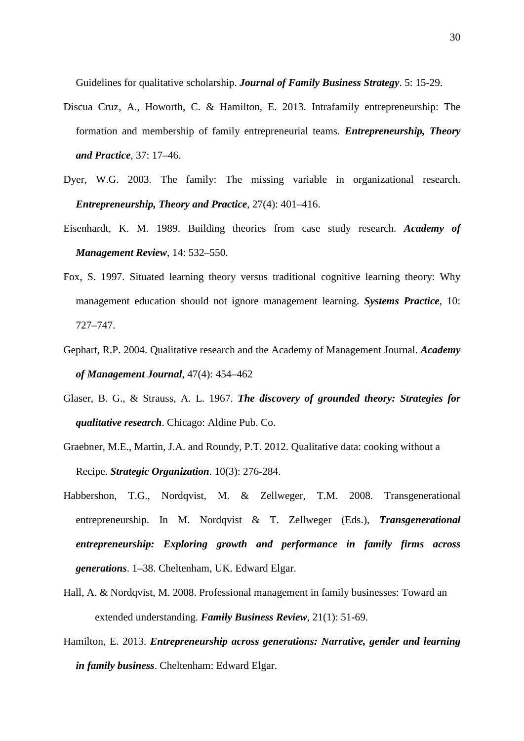Guidelines for qualitative scholarship. *Journal of Family Business Strategy*. 5: 15-29.

- Discua Cruz, A., Howorth, C. & Hamilton, E. 2013. Intrafamily entrepreneurship: The formation and membership of family entrepreneurial teams. *Entrepreneurship, Theory and Practice*, 37: 17–46.
- Dyer, W.G. 2003. The family: The missing variable in organizational research. *Entrepreneurship, Theory and Practice*, 27(4): 401–416.
- Eisenhardt, K. M. 1989. Building theories from case study research. *Academy of Management Review*, 14: 532–550.
- Fox, S. 1997. Situated learning theory versus traditional cognitive learning theory: Why management education should not ignore management learning. *Systems Practice*, 10: 727–747.
- Gephart, R.P. 2004. Qualitative research and the Academy of Management Journal. *Academy of Management Journal*, 47(4): 454–462
- Glaser, B. G., & Strauss, A. L. 1967. *The discovery of grounded theory: Strategies for qualitative research*. Chicago: Aldine Pub. Co.
- Graebner, M.E., Martin, J.A. and Roundy, P.T. 2012. Qualitative data: cooking without a Recipe. *Strategic Organization*. 10(3): 276-284.
- Habbershon, T.G., Nordqvist, M. & Zellweger, T.M. 2008. Transgenerational entrepreneurship. In M. Nordqvist & T. Zellweger (Eds.), *Transgenerational entrepreneurship: Exploring growth and performance in family firms across generations*. 1–38. Cheltenham, UK. Edward Elgar.
- Hall, A. & Nordqvist, M. 2008. Professional management in family businesses: Toward an extended understanding. *Family Business Review,* 21(1): 51-69.
- Hamilton, E. 2013. *Entrepreneurship across generations: Narrative, gender and learning in family business*. Cheltenham: Edward Elgar.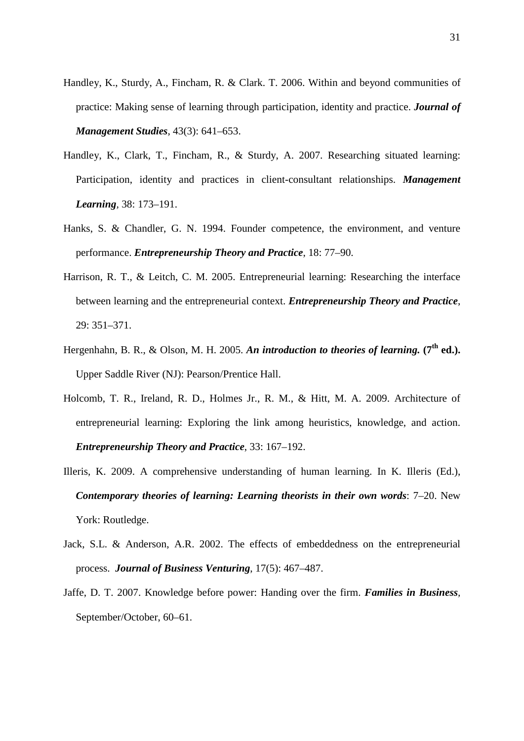- Handley, K., Sturdy, A., Fincham, R. & Clark. T. 2006. Within and beyond communities of practice: Making sense of learning through participation, identity and practice. *Journal of Management Studies*, 43(3): 641–653.
- Handley, K., Clark, T., Fincham, R., & Sturdy, A. 2007. Researching situated learning: Participation, identity and practices in client-consultant relationships. *Management Learning,* 38: 173–191.
- Hanks, S. & Chandler, G. N. 1994. Founder competence, the environment, and venture performance. *Entrepreneurship Theory and Practice*, 18: 77–90.
- Harrison, R. T., & Leitch, C. M. 2005. Entrepreneurial learning: Researching the interface between learning and the entrepreneurial context. *Entrepreneurship Theory and Practice*, 29: 351–371.
- Hergenhahn, B. R., & Olson, M. H. 2005. An introduction to theories of learning. (7<sup>th</sup> ed.). Upper Saddle River (NJ): Pearson/Prentice Hall.
- Holcomb, T. R., Ireland, R. D., Holmes Jr., R. M., & Hitt, M. A. 2009. Architecture of entrepreneurial learning: Exploring the link among heuristics, knowledge, and action. *Entrepreneurship Theory and Practice*, 33: 167–192.
- Illeris, K. 2009. A comprehensive understanding of human learning. In K. Illeris (Ed.), *Contemporary theories of learning: Learning theorists in their own words*: 7–20. New York: Routledge.
- Jack, S.L. & Anderson, A.R. 2002. The effects of embeddedness on the entrepreneurial process. *Journal of Business Venturing*, 17(5): 467–487.
- Jaffe, D. T. 2007. Knowledge before power: Handing over the firm. *Families in Business,*  September/October, 60–61.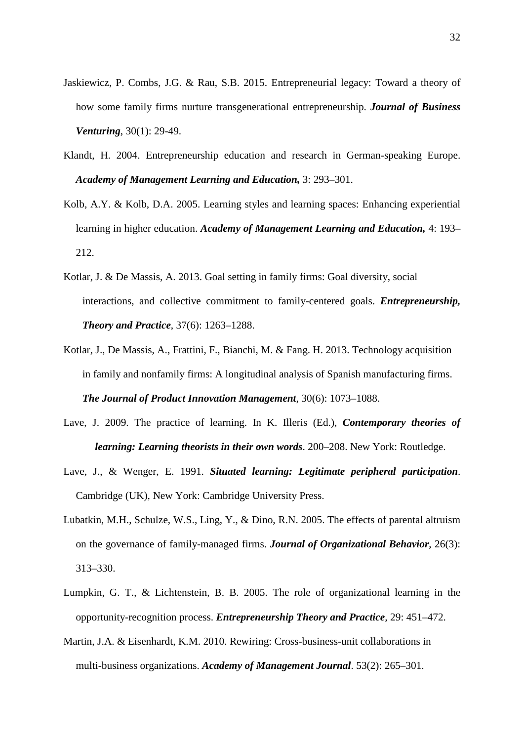- Jaskiewicz, P. Combs, J.G. & Rau, S.B. 2015. Entrepreneurial legacy: Toward a theory of how some family firms nurture transgenerational entrepreneurship. *Journal of Business Venturing*, 30(1): 29-49.
- Klandt, H. 2004. Entrepreneurship education and research in German-speaking Europe. *Academy of Management Learning and Education,* 3: 293–301.
- Kolb, A.Y. & Kolb, D.A. 2005. Learning styles and learning spaces: Enhancing experiential learning in higher education. *Academy of Management Learning and Education,* 4: 193– 212.
- Kotlar, J. & De Massis, A. 2013. Goal setting in family firms: Goal diversity, social interactions, and collective commitment to family-centered goals. *Entrepreneurship, Theory and Practice*, 37(6): 1263–1288.
- Kotlar, J., De Massis, A., Frattini, F., Bianchi, M. & Fang. H. 2013. Technology acquisition in family and nonfamily firms: A longitudinal analysis of Spanish manufacturing firms.

*The Journal of Product Innovation Management*, 30(6): 1073–1088.

- Lave, J. 2009. The practice of learning. In K. Illeris (Ed.), *Contemporary theories of learning: Learning theorists in their own words*. 200–208. New York: Routledge.
- Lave, J., & Wenger, E. 1991. *Situated learning: Legitimate peripheral participation*. Cambridge (UK), New York: Cambridge University Press.
- Lubatkin, M.H., Schulze, W.S., Ling, Y., & Dino, R.N. 2005. The effects of parental altruism on the governance of family-managed firms. *Journal of Organizational Behavior*, 26(3): 313–330.
- Lumpkin, G. T., & Lichtenstein, B. B. 2005. The role of organizational learning in the opportunity-recognition process. *Entrepreneurship Theory and Practice,* 29: 451–472.
- Martin, J.A. & Eisenhardt, K.M. 2010. Rewiring: Cross-business-unit collaborations in multi-business organizations. *Academy of Management Journal*. 53(2): 265–301.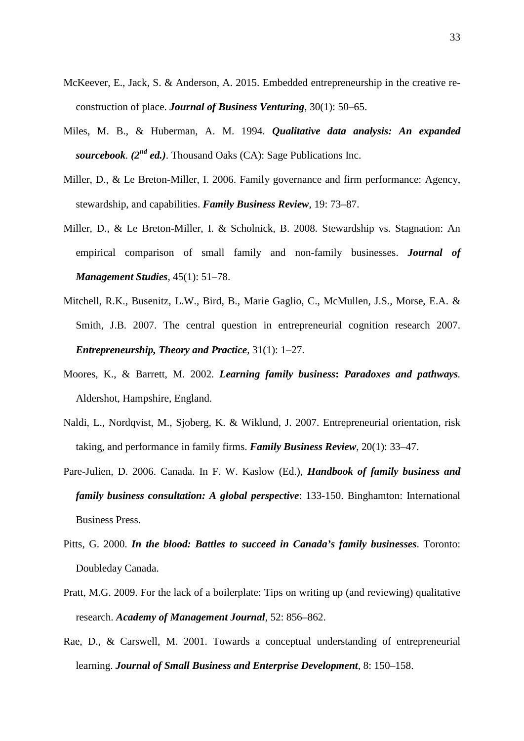- McKeever, E., Jack, S. & Anderson, A. 2015. Embedded entrepreneurship in the creative reconstruction of place. *Journal of Business Venturing*, 30(1): 50–65.
- Miles, M. B., & Huberman, A. M. 1994. *Qualitative data analysis: An expanded sourcebook.*  $(2^{nd}$  *ed.*). Thousand Oaks (CA): Sage Publications Inc.
- Miller, D., & Le Breton-Miller, I. 2006. Family governance and firm performance: Agency, stewardship, and capabilities. *Family Business Review*, 19: 73–87.
- Miller, D., & Le Breton-Miller, I. & Scholnick, B. 2008. Stewardship vs. Stagnation: An empirical comparison of small family and non-family businesses. *Journal of Management Studies*, 45(1): 51–78.
- Mitchell, R.K., Busenitz, L.W., Bird, B., Marie Gaglio, C., McMullen, J.S., Morse, E.A. & Smith, J.B. 2007. The central question in entrepreneurial cognition research 2007. *Entrepreneurship, Theory and Practice*, 31(1): 1–27.
- Moores, K., & Barrett, M. 2002. *Learning family business***:** *Paradoxes and pathways.* Aldershot, Hampshire, England.
- Naldi, L., Nordqvist, M., Sjoberg, K. & Wiklund, J. 2007. Entrepreneurial orientation, risk taking, and performance in family firms. *Family Business Review*, 20(1): 33–47.
- Pare-Julien, D. 2006. Canada. In F. W. Kaslow (Ed.), *Handbook of family business and family business consultation: A global perspective*: 133-150. Binghamton: International Business Press.
- Pitts, G. 2000. *In the blood: Battles to succeed in Canada's family businesses*. Toronto: Doubleday Canada.
- Pratt, M.G. 2009. For the lack of a boilerplate: Tips on writing up (and reviewing) qualitative research. *Academy of Management Journal*, 52: 856–862.
- Rae, D., & Carswell, M. 2001. Towards a conceptual understanding of entrepreneurial learning. *Journal of Small Business and Enterprise Development,* 8: 150–158.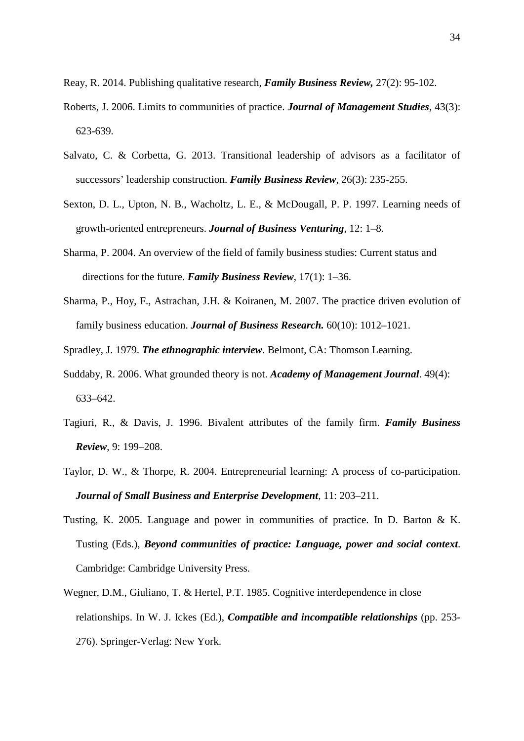Reay, R. 2014. Publishing qualitative research, *Family Business Review,* 27(2): 95-102.

- Roberts, J. 2006. Limits to communities of practice. *Journal of Management Studies*, 43(3): 623-639.
- Salvato, C. & Corbetta, G. 2013. Transitional leadership of advisors as a facilitator of successors' leadership construction. *Family Business Review*, 26(3): 235-255.
- Sexton, D. L., Upton, N. B., Wacholtz, L. E., & McDougall, P. P. 1997. Learning needs of growth-oriented entrepreneurs. *Journal of Business Venturing,* 12: 1–8.
- Sharma, P. 2004. An overview of the field of family business studies: Current status and directions for the future. *Family Business Review*, 17(1): 1–36.
- Sharma, P., Hoy, F., Astrachan, J.H. & Koiranen, M. 2007. The practice driven evolution of family business education. *Journal of Business Research.* 60(10): 1012–1021.
- Spradley, J. 1979. *The ethnographic interview*. Belmont, CA: Thomson Learning.
- Suddaby, R. 2006. What grounded theory is not. *Academy of Management Journal*. 49(4): 633–642.
- Tagiuri, R., & Davis, J. 1996. Bivalent attributes of the family firm. *Family Business Review*, 9: 199–208.
- Taylor, D. W., & Thorpe, R. 2004. Entrepreneurial learning: A process of co-participation. *Journal of Small Business and Enterprise Development*, 11: 203–211.
- Tusting, K. 2005. Language and power in communities of practice. In D. Barton & K. Tusting (Eds.), *Beyond communities of practice: Language, power and social context*. Cambridge: Cambridge University Press.
- Wegner, D.M., Giuliano, T. & Hertel, P.T. 1985. Cognitive interdependence in close relationships. In W. J. Ickes (Ed.), *Compatible and incompatible relationships* (pp. 253- 276). Springer-Verlag: New York.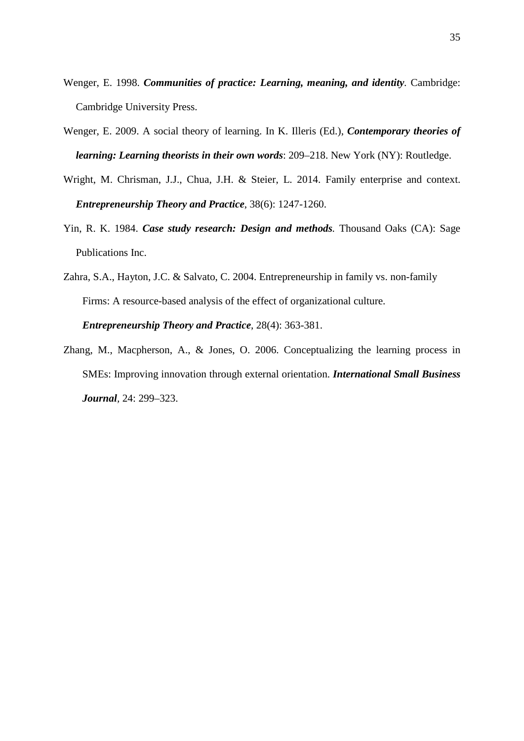- Wenger, E. 1998. *Communities of practice: Learning, meaning, and identity.* Cambridge: Cambridge University Press.
- Wenger, E. 2009. A social theory of learning. In K. Illeris (Ed.), *Contemporary theories of learning: Learning theorists in their own words*: 209–218. New York (NY): Routledge.
- Wright, M. Chrisman, J.J., Chua, J.H. & Steier, L. 2014. Family enterprise and context. *Entrepreneurship Theory and Practice*, 38(6): 1247-1260.
- Yin, R. K. 1984. *Case study research: Design and methods.* Thousand Oaks (CA): Sage Publications Inc.
- Zahra, S.A., Hayton, J.C. & Salvato, C. 2004. Entrepreneurship in family vs. non-family Firms: A resource-based analysis of the effect of organizational culture. *Entrepreneurship Theory and Practice*, 28(4): 363-381.
- Zhang, M., Macpherson, A., & Jones, O. 2006. Conceptualizing the learning process in SMEs: Improving innovation through external orientation. *International Small Business Journal,* 24: 299–323.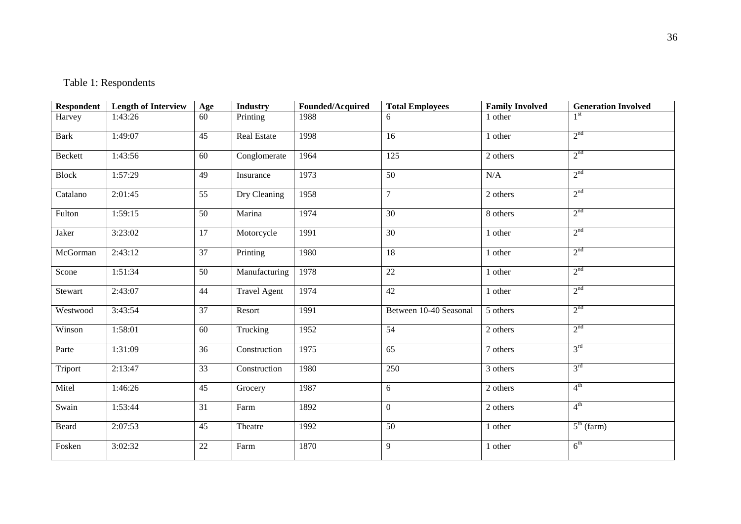## Table 1: Respondents

| <b>Respondent</b> | <b>Length of Interview</b> | Age    | <b>Industry</b>     | Founded/Acquired | <b>Total Employees</b> | <b>Family Involved</b> | <b>Generation Involved</b> |
|-------------------|----------------------------|--------|---------------------|------------------|------------------------|------------------------|----------------------------|
| Harvey            | 1:43:26                    | 60     | Printing            | 1988             | 6                      | 1 other                |                            |
| <b>Bark</b>       | 1:49:07                    | 45     | <b>Real Estate</b>  | 1998             | 16                     | 1 other                | 2 <sup>nd</sup>            |
| Beckett           | 1:43:56                    | 60     | Conglomerate        | 1964             | 125                    | 2 others               | 2 <sup>nd</sup>            |
| <b>Block</b>      | 1:57:29                    | 49     | Insurance           | 1973             | 50                     | $\rm N/A$              | 2 <sup>nd</sup>            |
| Catalano          | 2:01:45                    | 55     | Dry Cleaning        | 1958             | $\overline{7}$         | 2 others               | 2 <sup>nd</sup>            |
| Fulton            | 1:59:15                    | 50     | Marina              | 1974             | 30                     | 8 others               | 2 <sup>nd</sup>            |
| Jaker             | 3:23:02                    | 17     | Motorcycle          | 1991             | 30                     | 1 other                | 2 <sup>nd</sup>            |
| McGorman          | 2:43:12                    | 37     | Printing            | 1980             | 18                     | 1 other                | 2 <sup>nd</sup>            |
| Scone             | 1:51:34                    | 50     | Manufacturing       | 1978             | $22\,$                 | 1 other                | 2 <sup>nd</sup>            |
| Stewart           | 2:43:07                    | 44     | <b>Travel Agent</b> | 1974             | 42                     | 1 other                | 2 <sup>nd</sup>            |
| Westwood          | 3:43:54                    | 37     | Resort              | 1991             | Between 10-40 Seasonal | 5 others               | 2 <sup>nd</sup>            |
| Winson            | 1:58:01                    | 60     | Trucking            | 1952             | 54                     | 2 others               | 2 <sup>nd</sup>            |
| Parte             | 1:31:09                    | 36     | Construction        | 1975             | 65                     | 7 others               | $3^{\text{rd}}$            |
| Triport           | 2:13:47                    | 33     | Construction        | 1980             | 250                    | 3 others               | $3^{\text{rd}}$            |
| Mitel             | 1:46:26                    | 45     | Grocery             | 1987             | 6                      | 2 others               | $4^{\text{th}}$            |
| Swain             | 1:53:44                    | 31     | Farm                | 1892             | $\mathbf{0}$           | 2 others               | $4^{\text{th}}$            |
| Beard             | 2:07:53                    | 45     | Theatre             | 1992             | 50                     | 1 other                | $5^{\text{th}}$ (farm)     |
| Fosken            | 3:02:32                    | $22\,$ | Farm                | 1870             | 9                      | 1 other                | 6 <sup>th</sup>            |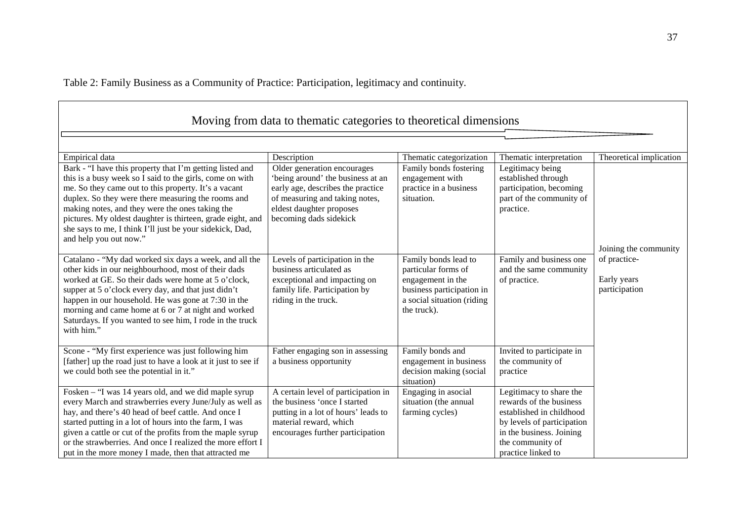Table 2: Family Business as a Community of Practice: Participation, legitimacy and continuity.

| Moving from data to the matic categories to theoretical dimensions                                                                                                                                                                                                                                                                                                                                                                        |                                                                                                                                                                                               |                                                                                                                                            |                                                                                                                                                                                    |                                                                       |  |
|-------------------------------------------------------------------------------------------------------------------------------------------------------------------------------------------------------------------------------------------------------------------------------------------------------------------------------------------------------------------------------------------------------------------------------------------|-----------------------------------------------------------------------------------------------------------------------------------------------------------------------------------------------|--------------------------------------------------------------------------------------------------------------------------------------------|------------------------------------------------------------------------------------------------------------------------------------------------------------------------------------|-----------------------------------------------------------------------|--|
| Empirical data                                                                                                                                                                                                                                                                                                                                                                                                                            | Description                                                                                                                                                                                   | Thematic categorization                                                                                                                    | Thematic interpretation                                                                                                                                                            | Theoretical implication                                               |  |
| Bark - "I have this property that I'm getting listed and<br>this is a busy week so I said to the girls, come on with<br>me. So they came out to this property. It's a vacant<br>duplex. So they were there measuring the rooms and<br>making notes, and they were the ones taking the<br>pictures. My oldest daughter is thirteen, grade eight, and<br>she says to me, I think I'll just be your sidekick, Dad,<br>and help you out now." | Older generation encourages<br>'being around' the business at an<br>early age, describes the practice<br>of measuring and taking notes,<br>eldest daughter proposes<br>becoming dads sidekick | Family bonds fostering<br>engagement with<br>practice in a business<br>situation.                                                          | Legitimacy being<br>established through<br>participation, becoming<br>part of the community of<br>practice.                                                                        |                                                                       |  |
| Catalano - "My dad worked six days a week, and all the<br>other kids in our neighbourhood, most of their dads<br>worked at GE. So their dads were home at 5 o'clock,<br>supper at 5 o'clock every day, and that just didn't<br>happen in our household. He was gone at 7:30 in the<br>morning and came home at 6 or 7 at night and worked<br>Saturdays. If you wanted to see him, I rode in the truck<br>with him."                       | Levels of participation in the<br>business articulated as<br>exceptional and impacting on<br>family life. Participation by<br>riding in the truck.                                            | Family bonds lead to<br>particular forms of<br>engagement in the<br>business participation in<br>a social situation (riding<br>the truck). | Family and business one<br>and the same community<br>of practice.                                                                                                                  | Joining the community<br>of practice-<br>Early years<br>participation |  |
| Scone - "My first experience was just following him<br>[father] up the road just to have a look at it just to see if<br>we could both see the potential in it."                                                                                                                                                                                                                                                                           | Father engaging son in assessing<br>a business opportunity                                                                                                                                    | Family bonds and<br>engagement in business<br>decision making (social<br>situation)                                                        | Invited to participate in<br>the community of<br>practice                                                                                                                          |                                                                       |  |
| Fosken – "I was 14 years old, and we did maple syrup<br>every March and strawberries every June/July as well as<br>hay, and there's 40 head of beef cattle. And once I<br>started putting in a lot of hours into the farm, I was<br>given a cattle or cut of the profits from the maple syrup<br>or the strawberries. And once I realized the more effort I<br>put in the more money I made, then that attracted me                       | A certain level of participation in<br>the business 'once I started<br>putting in a lot of hours' leads to<br>material reward, which<br>encourages further participation                      | Engaging in asocial<br>situation (the annual<br>farming cycles)                                                                            | Legitimacy to share the<br>rewards of the business<br>established in childhood<br>by levels of participation<br>in the business. Joining<br>the community of<br>practice linked to |                                                                       |  |

,我们也不会有什么。""我们的人,我们也不会有什么?""我们的人,我们也不会有什么?""我们的人,我们也不会有什么?""我们的人,我们也不会有什么?""我们的人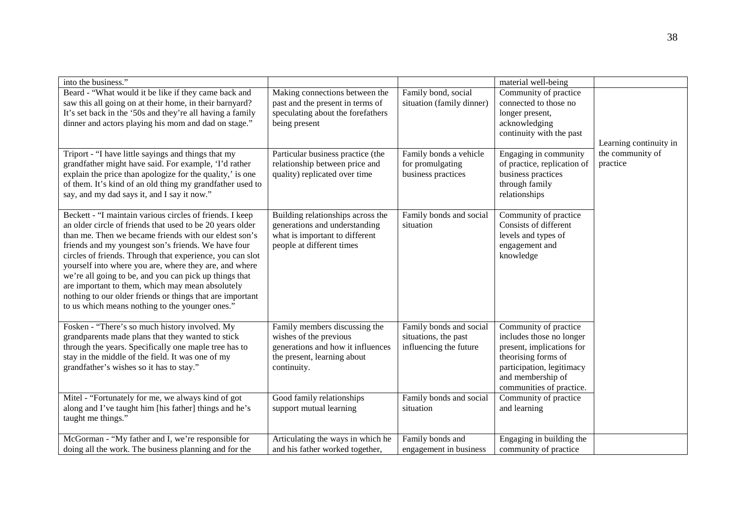| into the business."                                                                                                                                                                                                                                                                                                                                                                                                                                                                                                                                                                        |                                                                                                                                            |                                                                           | material well-being                                                                                                                                                                 |                              |
|--------------------------------------------------------------------------------------------------------------------------------------------------------------------------------------------------------------------------------------------------------------------------------------------------------------------------------------------------------------------------------------------------------------------------------------------------------------------------------------------------------------------------------------------------------------------------------------------|--------------------------------------------------------------------------------------------------------------------------------------------|---------------------------------------------------------------------------|-------------------------------------------------------------------------------------------------------------------------------------------------------------------------------------|------------------------------|
| Beard - "What would it be like if they came back and<br>saw this all going on at their home, in their barnyard?<br>It's set back in the '50s and they're all having a family<br>dinner and actors playing his mom and dad on stage."                                                                                                                                                                                                                                                                                                                                                       | Making connections between the<br>past and the present in terms of<br>speculating about the forefathers<br>being present                   | Family bond, social<br>situation (family dinner)                          | Community of practice<br>connected to those no<br>longer present,<br>acknowledging<br>continuity with the past                                                                      | Learning continuity in       |
| Triport - "I have little sayings and things that my<br>grandfather might have said. For example, 'I'd rather<br>explain the price than apologize for the quality,' is one<br>of them. It's kind of an old thing my grandfather used to<br>say, and my dad says it, and I say it now."                                                                                                                                                                                                                                                                                                      | Particular business practice (the<br>relationship between price and<br>quality) replicated over time                                       | Family bonds a vehicle<br>for promulgating<br>business practices          | Engaging in community<br>of practice, replication of<br>business practices<br>through family<br>relationships                                                                       | the community of<br>practice |
| Beckett - "I maintain various circles of friends. I keep<br>an older circle of friends that used to be 20 years older<br>than me. Then we became friends with our eldest son's<br>friends and my youngest son's friends. We have four<br>circles of friends. Through that experience, you can slot<br>yourself into where you are, where they are, and where<br>we're all going to be, and you can pick up things that<br>are important to them, which may mean absolutely<br>nothing to our older friends or things that are important<br>to us which means nothing to the younger ones." | Building relationships across the<br>generations and understanding<br>what is important to different<br>people at different times          | Family bonds and social<br>situation                                      | Community of practice<br>Consists of different<br>levels and types of<br>engagement and<br>knowledge                                                                                |                              |
| Fosken - "There's so much history involved. My<br>grandparents made plans that they wanted to stick<br>through the years. Specifically one maple tree has to<br>stay in the middle of the field. It was one of my<br>grandfather's wishes so it has to stay."                                                                                                                                                                                                                                                                                                                              | Family members discussing the<br>wishes of the previous<br>generations and how it influences<br>the present, learning about<br>continuity. | Family bonds and social<br>situations, the past<br>influencing the future | Community of practice<br>includes those no longer<br>present, implications for<br>theorising forms of<br>participation, legitimacy<br>and membership of<br>communities of practice. |                              |
| Mitel - "Fortunately for me, we always kind of got<br>along and I've taught him [his father] things and he's<br>taught me things."                                                                                                                                                                                                                                                                                                                                                                                                                                                         | Good family relationships<br>support mutual learning                                                                                       | Family bonds and social<br>situation                                      | Community of practice<br>and learning                                                                                                                                               |                              |
| McGorman - "My father and I, we're responsible for<br>doing all the work. The business planning and for the                                                                                                                                                                                                                                                                                                                                                                                                                                                                                | Articulating the ways in which he<br>and his father worked together,                                                                       | Family bonds and<br>engagement in business                                | Engaging in building the<br>community of practice                                                                                                                                   |                              |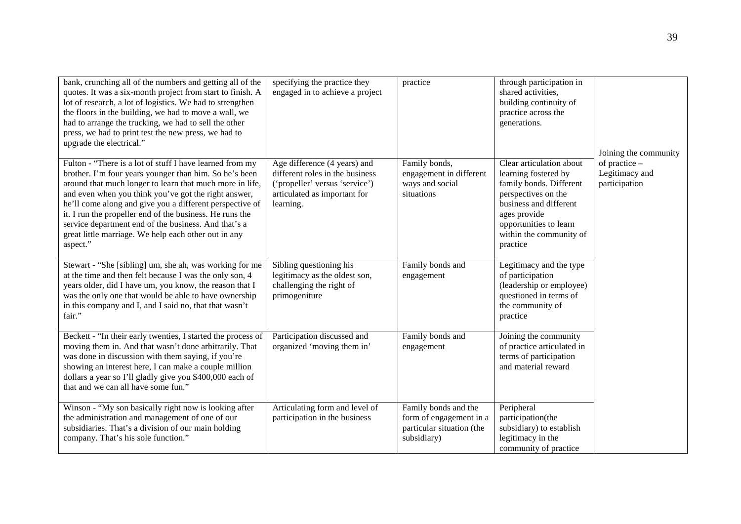| bank, crunching all of the numbers and getting all of the<br>quotes. It was a six-month project from start to finish. A<br>lot of research, a lot of logistics. We had to strengthen<br>the floors in the building, we had to move a wall, we<br>had to arrange the trucking, we had to sell the other<br>press, we had to print test the new press, we had to<br>upgrade the electrical."                                                                                                 | specifying the practice they<br>engaged in to achieve a project                                                                                | practice                                                                                    | through participation in<br>shared activities,<br>building continuity of<br>practice across the<br>generations.                                                                                               | Joining the community                            |
|--------------------------------------------------------------------------------------------------------------------------------------------------------------------------------------------------------------------------------------------------------------------------------------------------------------------------------------------------------------------------------------------------------------------------------------------------------------------------------------------|------------------------------------------------------------------------------------------------------------------------------------------------|---------------------------------------------------------------------------------------------|---------------------------------------------------------------------------------------------------------------------------------------------------------------------------------------------------------------|--------------------------------------------------|
| Fulton - "There is a lot of stuff I have learned from my<br>brother. I'm four years younger than him. So he's been<br>around that much longer to learn that much more in life,<br>and even when you think you've got the right answer,<br>he'll come along and give you a different perspective of<br>it. I run the propeller end of the business. He runs the<br>service department end of the business. And that's a<br>great little marriage. We help each other out in any<br>aspect." | Age difference (4 years) and<br>different roles in the business<br>('propeller' versus 'service')<br>articulated as important for<br>learning. | Family bonds,<br>engagement in different<br>ways and social<br>situations                   | Clear articulation about<br>learning fostered by<br>family bonds. Different<br>perspectives on the<br>business and different<br>ages provide<br>opportunities to learn<br>within the community of<br>practice | of practice -<br>Legitimacy and<br>participation |
| Stewart - "She [sibling] um, she ah, was working for me<br>at the time and then felt because I was the only son, 4<br>years older, did I have um, you know, the reason that I<br>was the only one that would be able to have ownership<br>in this company and I, and I said no, that that wasn't<br>fair."                                                                                                                                                                                 | Sibling questioning his<br>legitimacy as the oldest son,<br>challenging the right of<br>primogeniture                                          | Family bonds and<br>engagement                                                              | Legitimacy and the type<br>of participation<br>(leadership or employee)<br>questioned in terms of<br>the community of<br>practice                                                                             |                                                  |
| Beckett - "In their early twenties, I started the process of<br>moving them in. And that wasn't done arbitrarily. That<br>was done in discussion with them saying, if you're<br>showing an interest here, I can make a couple million<br>dollars a year so I'll gladly give you \$400,000 each of<br>that and we can all have some fun."                                                                                                                                                   | Participation discussed and<br>organized 'moving them in'                                                                                      | Family bonds and<br>engagement                                                              | Joining the community<br>of practice articulated in<br>terms of participation<br>and material reward                                                                                                          |                                                  |
| Winson - "My son basically right now is looking after<br>the administration and management of one of our<br>subsidiaries. That's a division of our main holding<br>company. That's his sole function."                                                                                                                                                                                                                                                                                     | Articulating form and level of<br>participation in the business                                                                                | Family bonds and the<br>form of engagement in a<br>particular situation (the<br>subsidiary) | Peripheral<br>participation(the<br>subsidiary) to establish<br>legitimacy in the<br>community of practice                                                                                                     |                                                  |